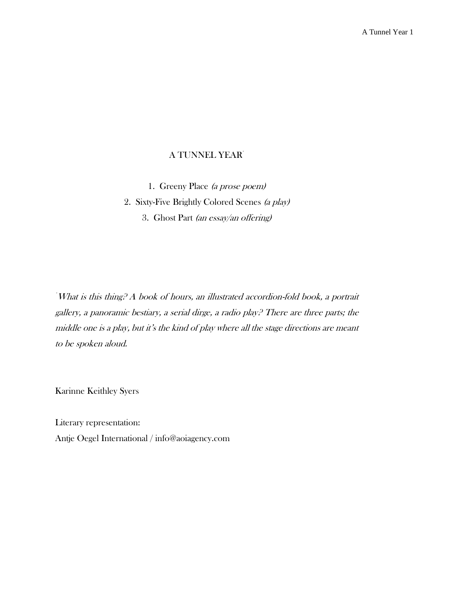# A TUNNEL YEAR<sup>\*</sup>

1. Greeny Place (a prose poem) 2. Sixty-Five Brightly Colored Scenes (a play) 3. Ghost Part (an essay/an offering)

\*What is this thing? A book of hours, an illustrated accordion-fold book, a portrait gallery, a panoramic bestiary, a serial dirge, a radio play? There are three parts; the middle one is a play, but it's the kind of play where all the stage directions are meant to be spoken aloud.

Karinne Keithley Syers

Literary representation: Antje Oegel International / info@aoiagency.com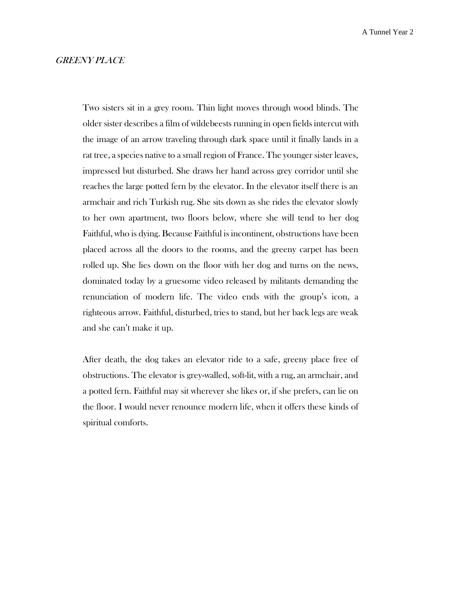### GREENY PLACE

Two sisters sit in a grey room. Thin light moves through wood blinds. The older sister describes a film of wildebeests running in open fields intercut with the image of an arrow traveling through dark space until it finally lands in a rat tree, a species native to a small region of France. The younger sister leaves, impressed but disturbed. She draws her hand across grey corridor until she reaches the large potted fern by the elevator. In the elevator itself there is an armchair and rich Turkish rug. She sits down as she rides the elevator slowly to her own apartment, two floors below, where she will tend to her dog Faithful, who is dying. Because Faithful is incontinent, obstructions have been placed across all the doors to the rooms, and the greeny carpet has been rolled up. She lies down on the floor with her dog and turns on the news, dominated today by a gruesome video released by militants demanding the renunciation of modern life. The video ends with the group's icon, a righteous arrow. Faithful, disturbed, tries to stand, but her back legs are weak and she can't make it up.

After death, the dog takes an elevator ride to a safe, greeny place free of obstructions. The elevator is grey-walled, soft-lit, with a rug, an armchair, and a potted fern. Faithful may sit wherever she likes or, if she prefers, can lie on the floor. I would never renounce modern life, when it offers these kinds of spiritual comforts.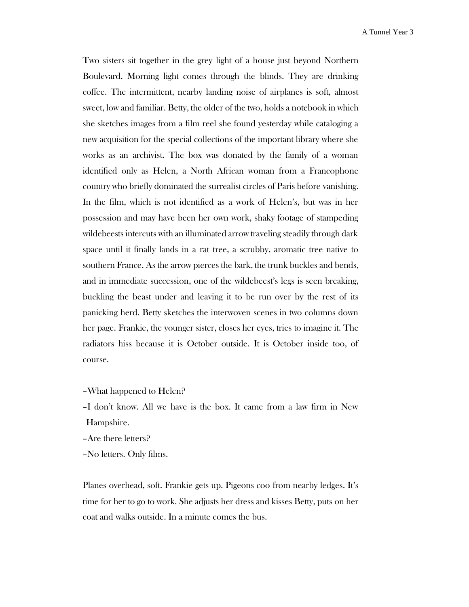Two sisters sit together in the grey light of a house just beyond Northern Boulevard. Morning light comes through the blinds. They are drinking coffee. The intermittent, nearby landing noise of airplanes is soft, almost sweet, low and familiar. Betty, the older of the two, holds a notebook in which she sketches images from a film reel she found yesterday while cataloging a new acquisition for the special collections of the important library where she works as an archivist. The box was donated by the family of a woman identified only as Helen, a North African woman from a Francophone country who briefly dominated the surrealist circles of Paris before vanishing. In the film, which is not identified as a work of Helen's, but was in her possession and may have been her own work, shaky footage of stampeding wildebeests intercuts with an illuminated arrow traveling steadily through dark space until it finally lands in a rat tree, a scrubby, aromatic tree native to southern France. As the arrow pierces the bark, the trunk buckles and bends, and in immediate succession, one of the wildebeest's legs is seen breaking, buckling the beast under and leaving it to be run over by the rest of its panicking herd. Betty sketches the interwoven scenes in two columns down her page. Frankie, the younger sister, closes her eyes, tries to imagine it. The radiators hiss because it is October outside. It is October inside too, of course.

- –What happened to Helen?
- –I don't know. All we have is the box. It came from a law firm in New Hampshire.
- –Are there letters?
- –No letters. Only films.

Planes overhead, soft. Frankie gets up. Pigeons coo from nearby ledges. It's time for her to go to work. She adjusts her dress and kisses Betty, puts on her coat and walks outside. In a minute comes the bus.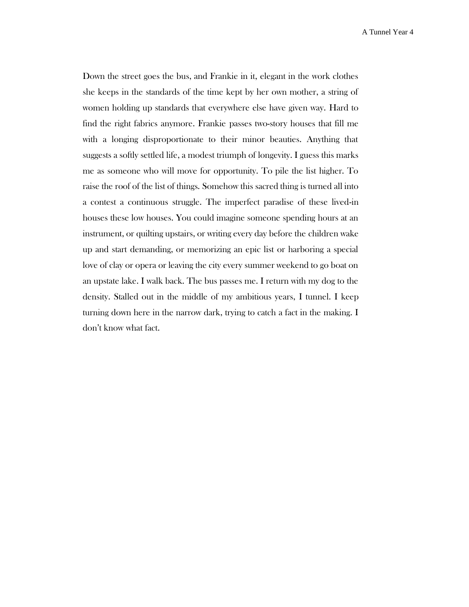Down the street goes the bus, and Frankie in it, elegant in the work clothes she keeps in the standards of the time kept by her own mother, a string of women holding up standards that everywhere else have given way. Hard to find the right fabrics anymore. Frankie passes two-story houses that fill me with a longing disproportionate to their minor beauties. Anything that suggests a softly settled life, a modest triumph of longevity. I guess this marks me as someone who will move for opportunity. To pile the list higher. To raise the roof of the list of things. Somehow this sacred thing is turned all into a contest a continuous struggle. The imperfect paradise of these lived-in houses these low houses. You could imagine someone spending hours at an instrument, or quilting upstairs, or writing every day before the children wake up and start demanding, or memorizing an epic list or harboring a special love of clay or opera or leaving the city every summer weekend to go boat on an upstate lake. I walk back. The bus passes me. I return with my dog to the density. Stalled out in the middle of my ambitious years, I tunnel. I keep turning down here in the narrow dark, trying to catch a fact in the making. I don't know what fact.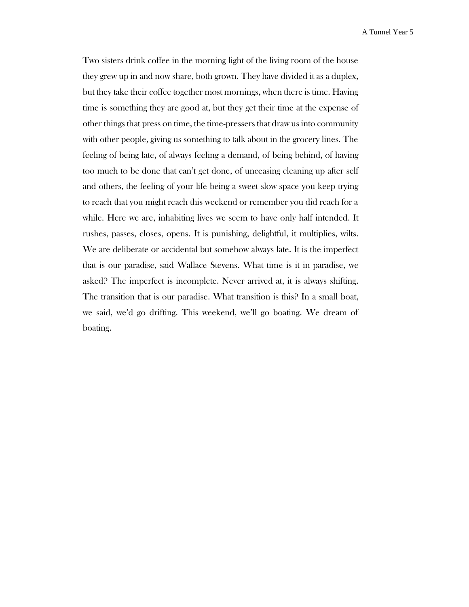Two sisters drink coffee in the morning light of the living room of the house they grew up in and now share, both grown. They have divided it as a duplex, but they take their coffee together most mornings, when there is time. Having time is something they are good at, but they get their time at the expense of other things that press on time, the time-pressers that draw us into community with other people, giving us something to talk about in the grocery lines. The feeling of being late, of always feeling a demand, of being behind, of having too much to be done that can't get done, of unceasing cleaning up after self and others, the feeling of your life being a sweet slow space you keep trying to reach that you might reach this weekend or remember you did reach for a while. Here we are, inhabiting lives we seem to have only half intended. It rushes, passes, closes, opens. It is punishing, delightful, it multiplies, wilts. We are deliberate or accidental but somehow always late. It is the imperfect that is our paradise, said Wallace Stevens. What time is it in paradise, we asked? The imperfect is incomplete. Never arrived at, it is always shifting. The transition that is our paradise. What transition is this? In a small boat, we said, we'd go drifting. This weekend, we'll go boating. We dream of boating.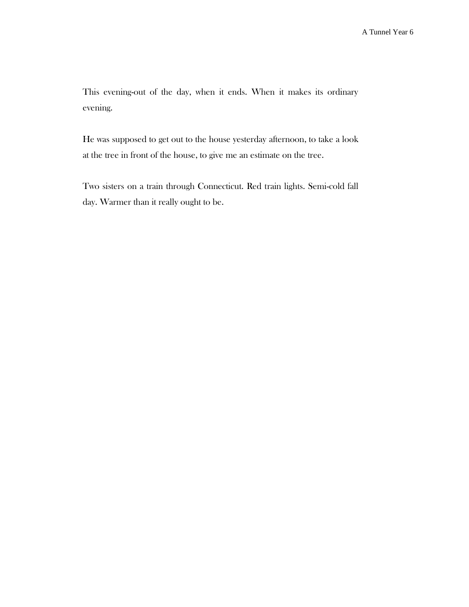This evening-out of the day, when it ends. When it makes its ordinary evening.

He was supposed to get out to the house yesterday afternoon, to take a look at the tree in front of the house, to give me an estimate on the tree.

Two sisters on a train through Connecticut. Red train lights. Semi-cold fall day. Warmer than it really ought to be.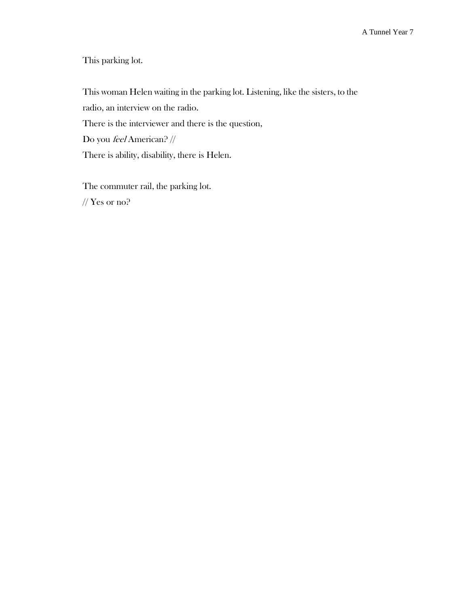This parking lot.

This woman Helen waiting in the parking lot. Listening, like the sisters, to the radio, an interview on the radio. There is the interviewer and there is the question, Do you feel American? // There is ability, disability, there is Helen.

The commuter rail, the parking lot.

// Yes or no?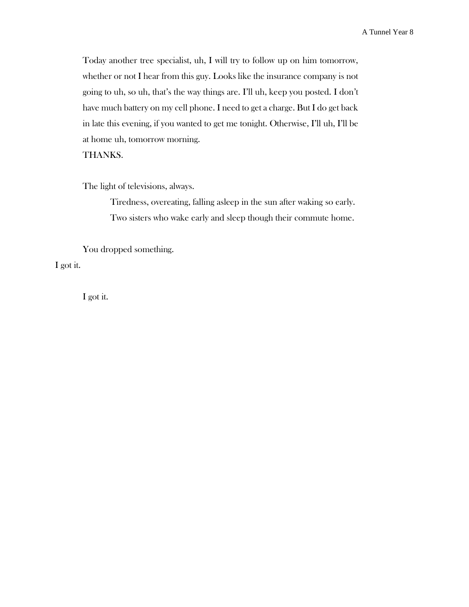Today another tree specialist, uh, I will try to follow up on him tomorrow, whether or not I hear from this guy. Looks like the insurance company is not going to uh, so uh, that's the way things are. I'll uh, keep you posted. I don't have much battery on my cell phone. I need to get a charge. But I do get back in late this evening, if you wanted to get me tonight. Otherwise, I'll uh, I'll be at home uh, tomorrow morning.

THANKS.

The light of televisions, always.

Tiredness, overeating, falling asleep in the sun after waking so early. Two sisters who wake early and sleep though their commute home.

You dropped something. I got it.

I got it.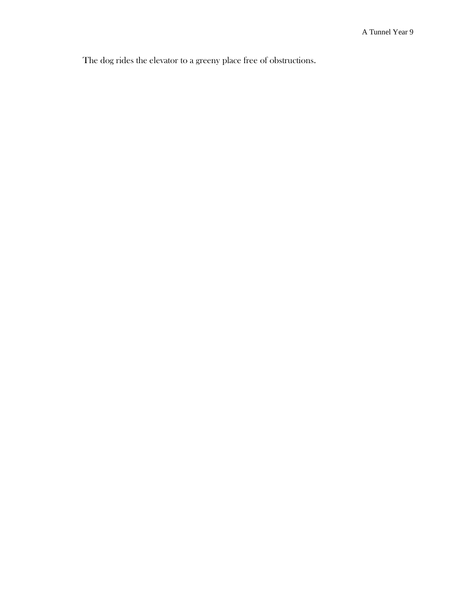The dog rides the elevator to a greeny place free of obstructions.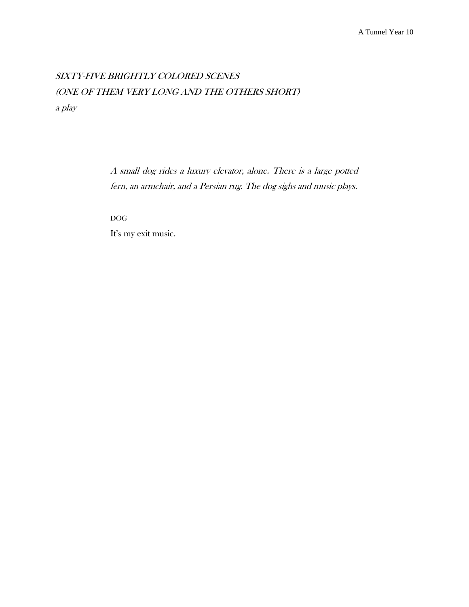# SIXTY-FIVE BRIGHTLY COLORED SCENES (ONE OF THEM VERY LONG AND THE OTHERS SHORT) a play

A small dog rides a luxury elevator, alone. There is a large potted fern, an armchair, and a Persian rug. The dog sighs and music plays.

DOG

It's my exit music.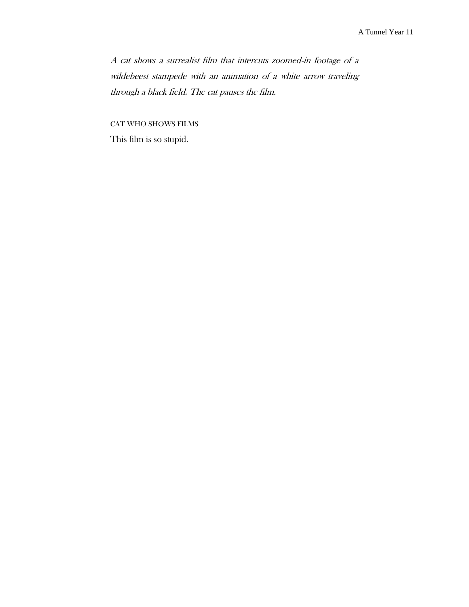A cat shows a surrealist film that intercuts zoomed-in footage of a wildebeest stampede with an animation of a white arrow traveling through a black field. The cat pauses the film.

CAT WHO SHOWS FILMS This film is so stupid.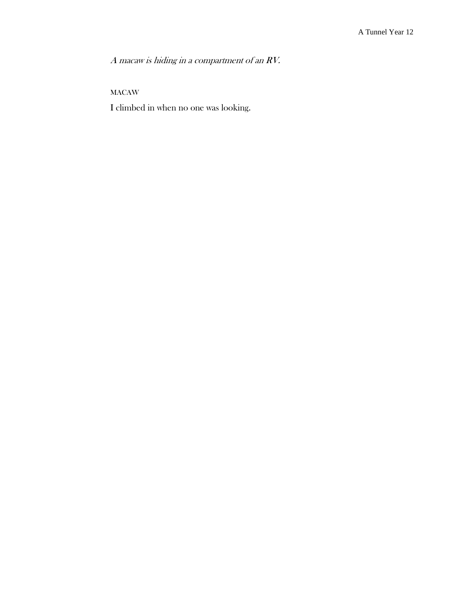A macaw is hiding in a compartment of an RV.

MACAW

I climbed in when no one was looking.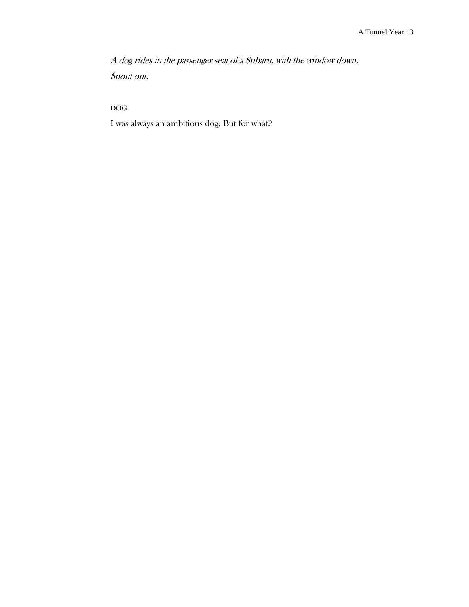A dog rides in the passenger seat of a Subaru, with the window down. Snout out.

DOG

I was always an ambitious dog. But for what?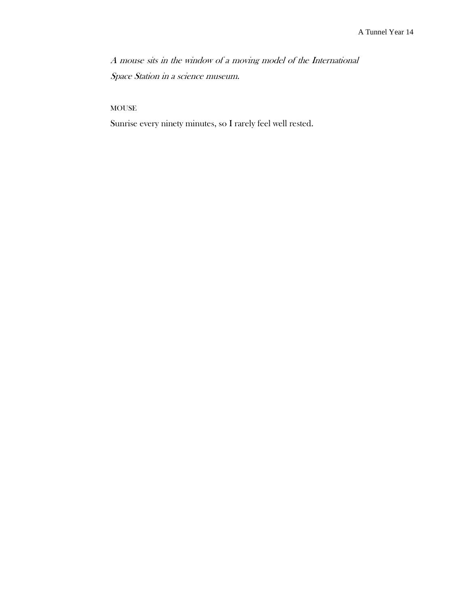A mouse sits in the window of a moving model of the International Space Station in a science museum.

MOUSE

Sunrise every ninety minutes, so I rarely feel well rested.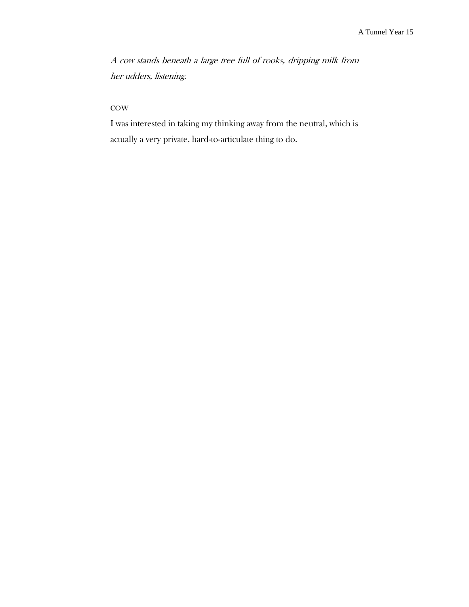A cow stands beneath a large tree full of rooks, dripping milk from her udders, listening.

### **COW**

I was interested in taking my thinking away from the neutral, which is actually a very private, hard-to-articulate thing to do.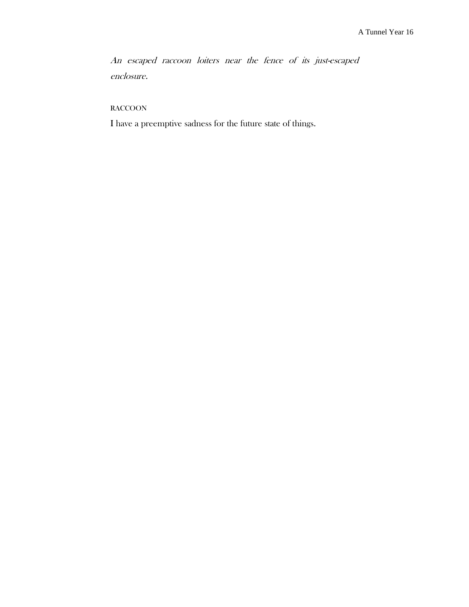An escaped raccoon loiters near the fence of its just-escaped enclosure.

RACCOON

I have a preemptive sadness for the future state of things.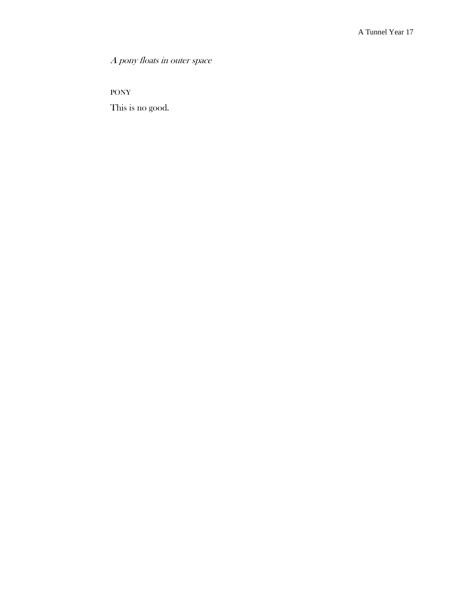A pony floats in outer space

PONY

This is no good.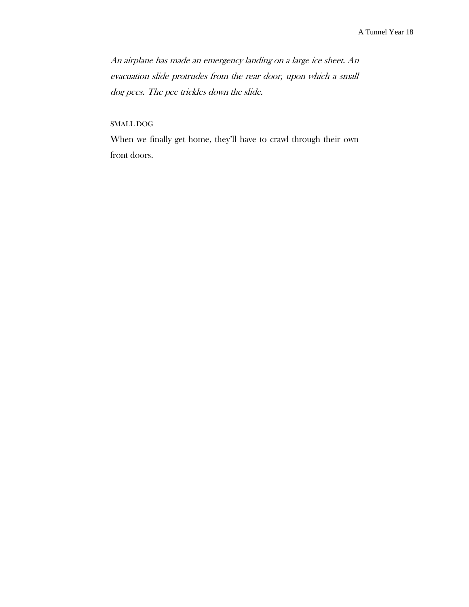An airplane has made an emergency landing on a large ice sheet. An evacuation slide protrudes from the rear door, upon which a small dog pees. The pee trickles down the slide.

SMALL DOG

When we finally get home, they'll have to crawl through their own front doors.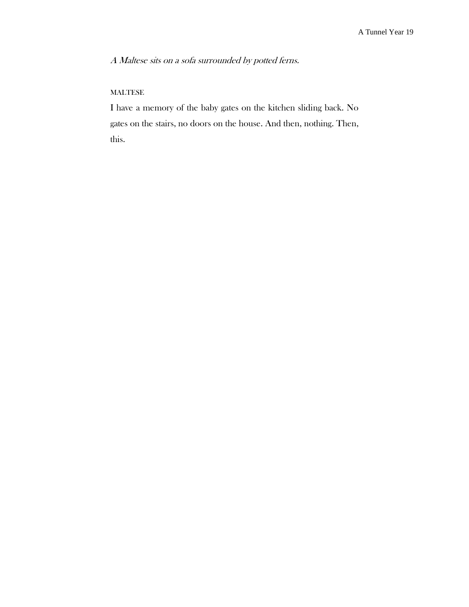A Maltese sits on a sofa surrounded by potted ferns.

# MALTESE

I have a memory of the baby gates on the kitchen sliding back. No gates on the stairs, no doors on the house. And then, nothing. Then, this.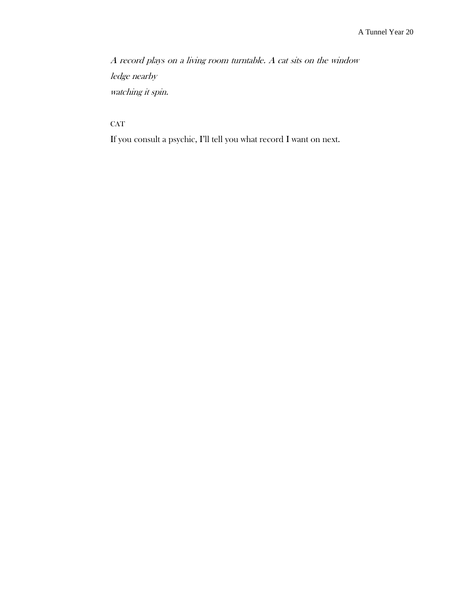A record plays on a living room turntable. A cat sits on the window ledge nearby watching it spin.

**CAT** 

If you consult a psychic, I'll tell you what record I want on next.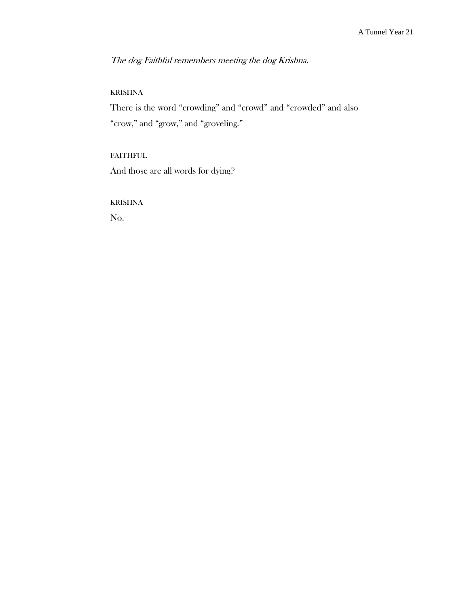The dog Faithful remembers meeting the dog Krishna.

### KRISHNA

There is the word "crowding" and "crowd" and "crowded" and also "crow," and "grow," and "groveling."

# FAITHFUL

And those are all words for dying?

KRISHNA

No.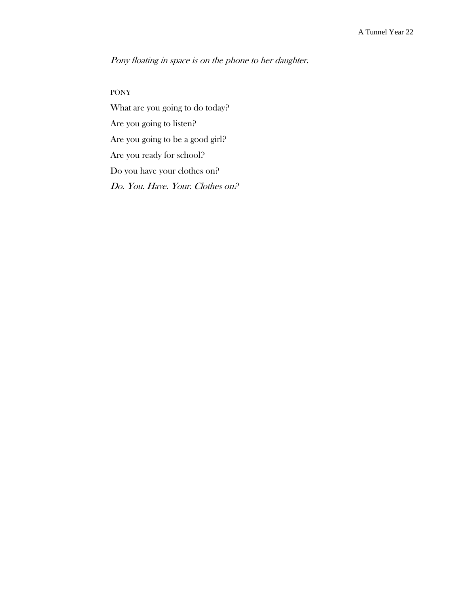Pony floating in space is on the phone to her daughter.

### PONY

What are you going to do today? Are you going to listen? Are you going to be a good girl? Are you ready for school? Do you have your clothes on? Do. You. Have. Your. Clothes on?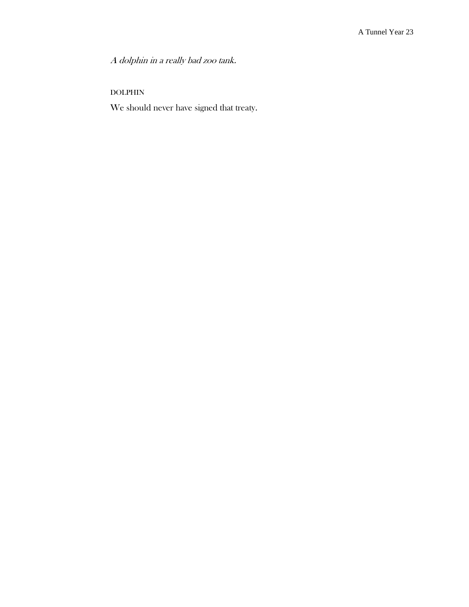A dolphin in a really bad zoo tank.

# DOLPHIN

We should never have signed that treaty.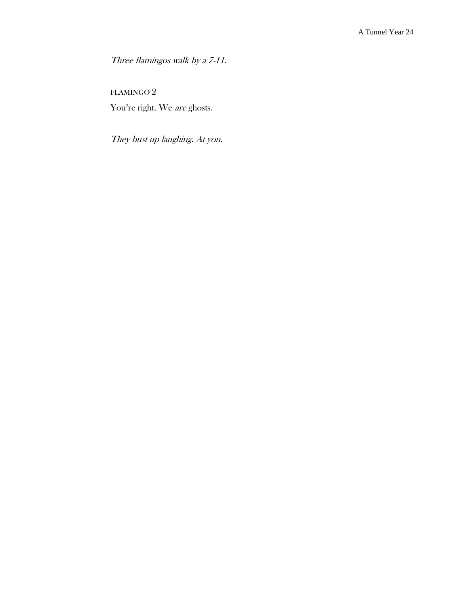Three flamingos walk by a 7-11.

FLAMINGO 2 You're right. We are ghosts.

They bust up laughing. At you.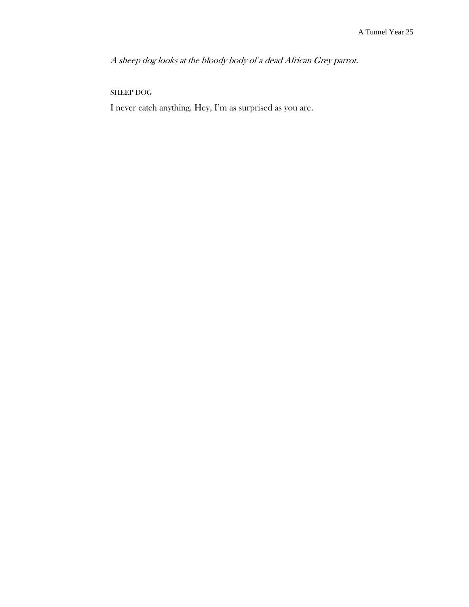A sheep dog looks at the bloody body of a dead African Grey parrot.

# SHEEP DOG

I never catch anything. Hey, I'm as surprised as you are.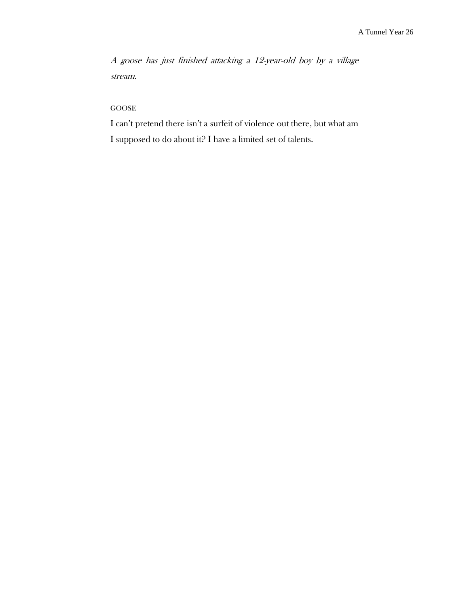A goose has just finished attacking a 12-year-old boy by a village stream.

GOOSE

I can't pretend there isn't a surfeit of violence out there, but what am I supposed to do about it? I have a limited set of talents.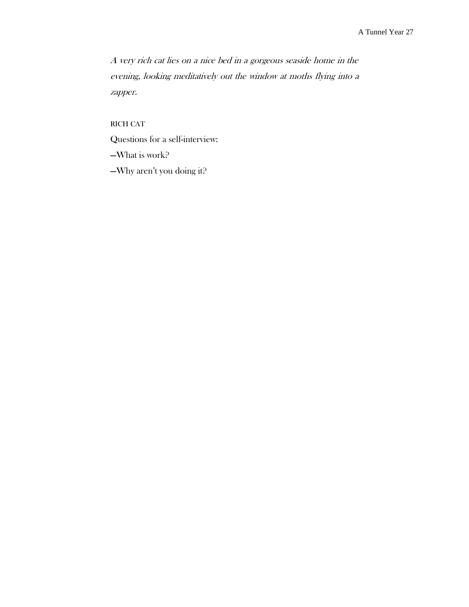A very rich cat lies on a nice bed in a gorgeous seaside home in the evening, looking meditatively out the window at moths flying into a zapper.

RICH CAT

Questions for a self-interview:

—What is work?

—Why aren't you doing it?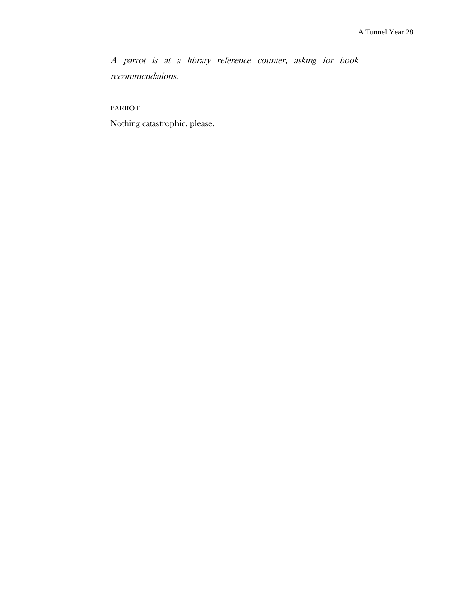A parrot is at a library reference counter, asking for book recommendations.

PARROT

Nothing catastrophic, please.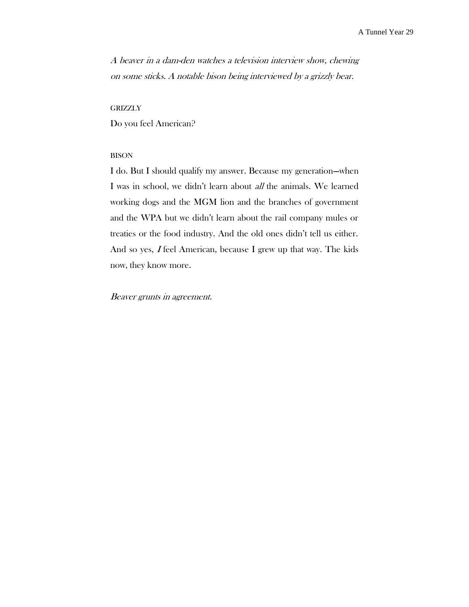A beaver in a dam-den watches a television interview show, chewing on some sticks. A notable bison being interviewed by a grizzly bear.

#### **GRIZZLY**

Do you feel American?

#### BISON

I do. But I should qualify my answer. Because my generation—when I was in school, we didn't learn about all the animals. We learned working dogs and the MGM lion and the branches of government and the WPA but we didn't learn about the rail company mules or treaties or the food industry. And the old ones didn't tell us either. And so yes, I feel American, because I grew up that way. The kids now, they know more.

Beaver grunts in agreement.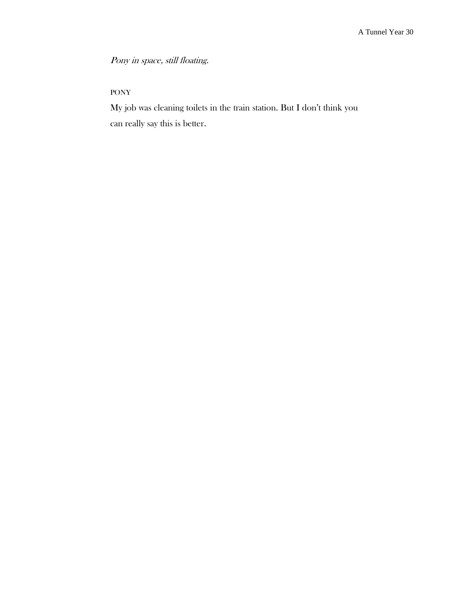Pony in space, still floating.

# PONY

My job was cleaning toilets in the train station. But I don't think you can really say this is better.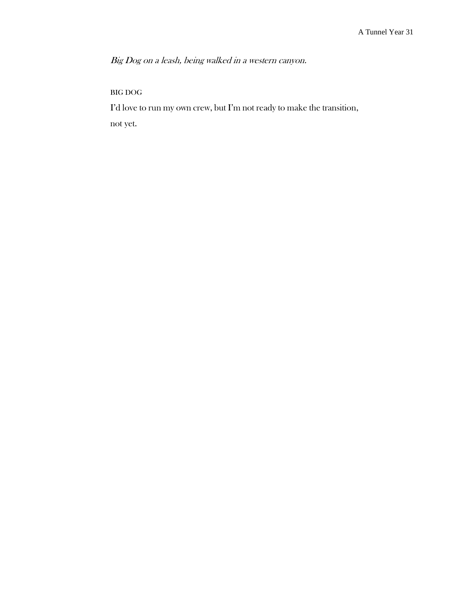Big Dog on a leash, being walked in a western canyon.

# BIG DOG

I'd love to run my own crew, but I'm not ready to make the transition, not yet.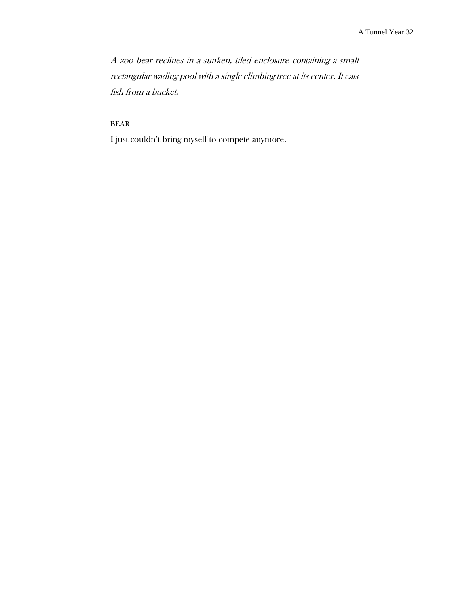A zoo bear reclines in a sunken, tiled enclosure containing a small rectangular wading pool with a single climbing tree at its center. It eats fish from a bucket.

# BEAR

I just couldn't bring myself to compete anymore.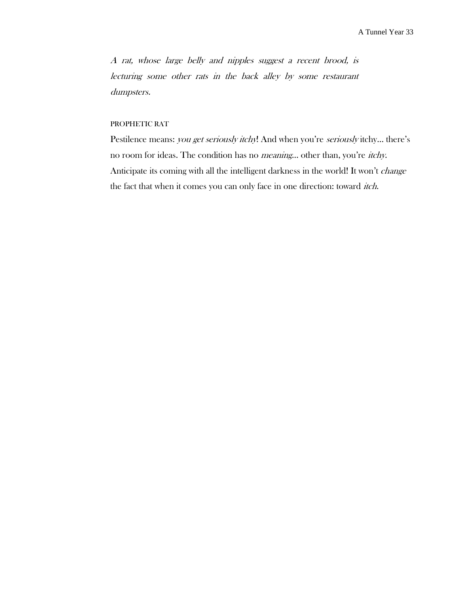A rat, whose large belly and nipples suggest a recent brood, is lecturing some other rats in the back alley by some restaurant dumpsters.

### PROPHETIC RAT

Pestilence means: you get seriously itchy! And when you're seriously itchy... there's no room for ideas. The condition has no meaning… other than, you're itchy. Anticipate its coming with all the intelligent darkness in the world! It won't change the fact that when it comes you can only face in one direction: toward itch.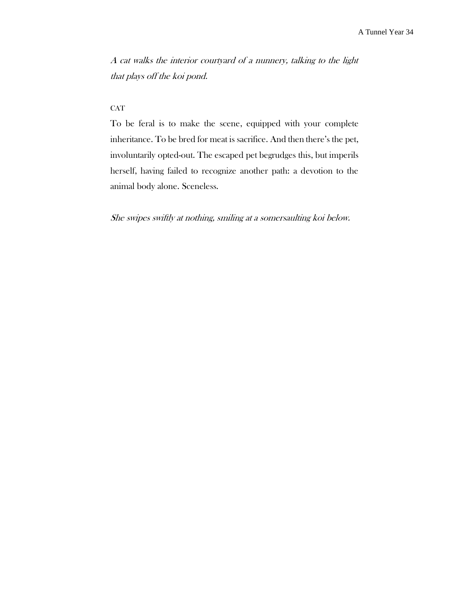A cat walks the interior courtyard of a nunnery, talking to the light that plays off the koi pond.

# **CAT**

To be feral is to make the scene, equipped with your complete inheritance. To be bred for meat is sacrifice. And then there's the pet, involuntarily opted-out. The escaped pet begrudges this, but imperils herself, having failed to recognize another path: a devotion to the animal body alone. Sceneless.

She swipes swiftly at nothing, smiling at a somersaulting koi below.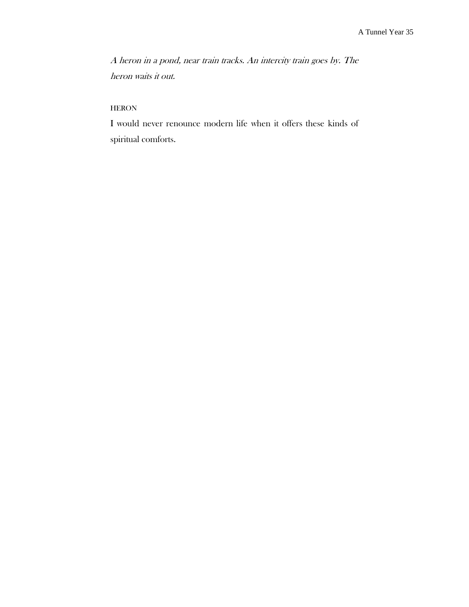A heron in a pond, near train tracks. An intercity train goes by. The heron waits it out.

# **HERON**

I would never renounce modern life when it offers these kinds of spiritual comforts.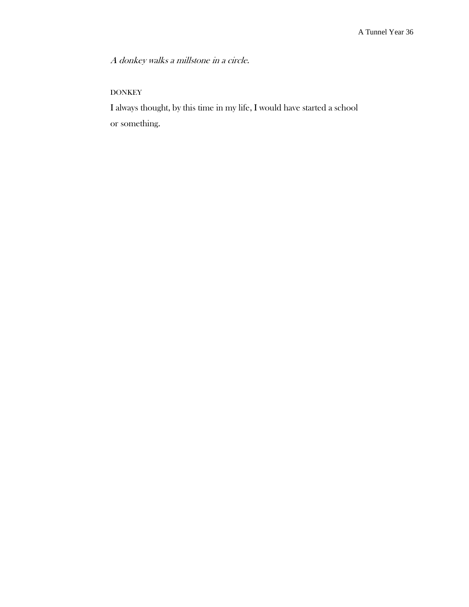A donkey walks a millstone in a circle.

# DONKEY

I always thought, by this time in my life, I would have started a school or something.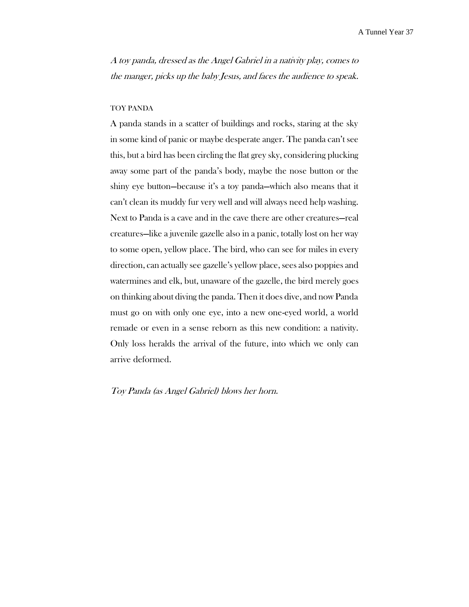A toy panda, dressed as the Angel Gabriel in a nativity play, comes to the manger, picks up the baby Jesus, and faces the audience to speak.

### TOY PANDA

A panda stands in a scatter of buildings and rocks, staring at the sky in some kind of panic or maybe desperate anger. The panda can't see this, but a bird has been circling the flat grey sky, considering plucking away some part of the panda's body, maybe the nose button or the shiny eye button—because it's a toy panda—which also means that it can't clean its muddy fur very well and will always need help washing. Next to Panda is a cave and in the cave there are other creatures—real creatures—like a juvenile gazelle also in a panic, totally lost on her way to some open, yellow place. The bird, who can see for miles in every direction, can actually see gazelle's yellow place, sees also poppies and watermines and elk, but, unaware of the gazelle, the bird merely goes on thinking about diving the panda. Then it does dive, and now Panda must go on with only one eye, into a new one-eyed world, a world remade or even in a sense reborn as this new condition: a nativity. Only loss heralds the arrival of the future, into which we only can arrive deformed.

Toy Panda (as Angel Gabriel) blows her horn.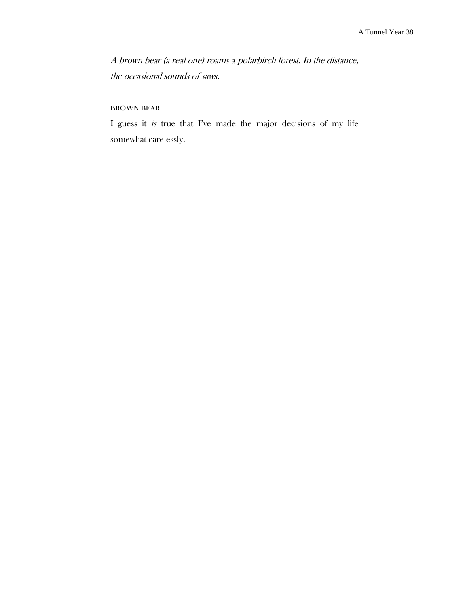A brown bear (a real one) roams a polarbirch forest. In the distance, the occasional sounds of saws.

## BROWN BEAR

I guess it is true that I've made the major decisions of my life somewhat carelessly.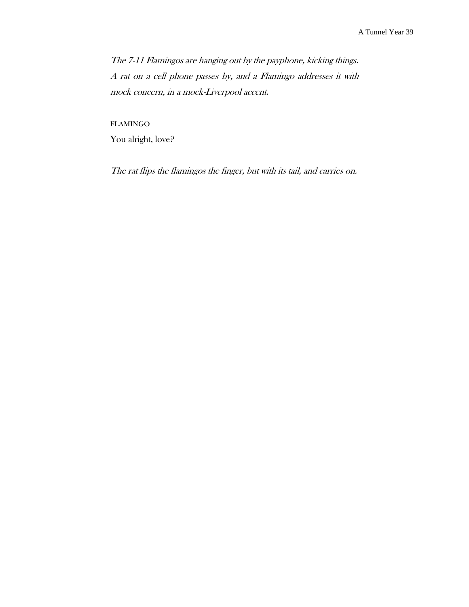The 7-11 Flamingos are hanging out by the payphone, kicking things. A rat on a cell phone passes by, and a Flamingo addresses it with mock concern, in a mock-Liverpool accent.

FLAMINGO You alright, love?

The rat flips the flamingos the finger, but with its tail, and carries on.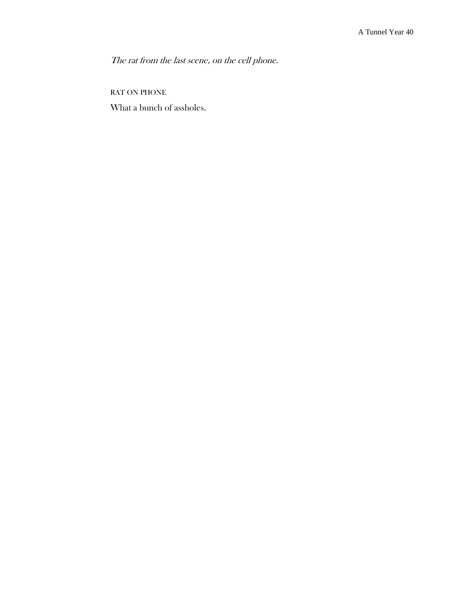The rat from the last scene, on the cell phone.

RAT ON PHONE

What a bunch of assholes.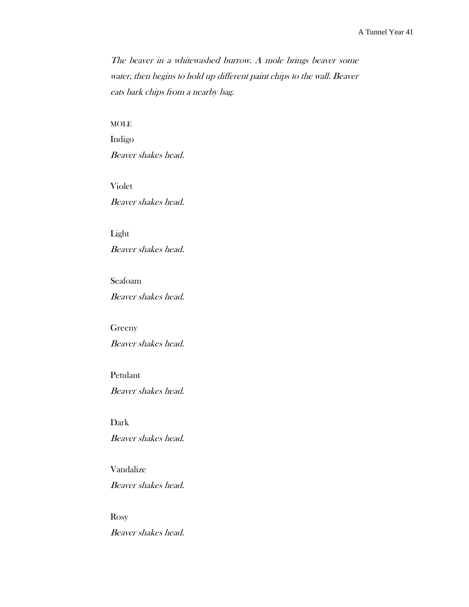The beaver in a whitewashed burrow. A mole brings beaver some water, then begins to hold up different paint chips to the wall. Beaver eats bark chips from a nearby bag.

## MOLE

Indigo Beaver shakes head.

Violet Beaver shakes head.

Light Beaver shakes head.

## Seafoam

Beaver shakes head.

Greeny

Beaver shakes head.

Petulant Beaver shakes head.

Dark Beaver shakes head.

Vandalize Beaver shakes head.

Rosy Beaver shakes head.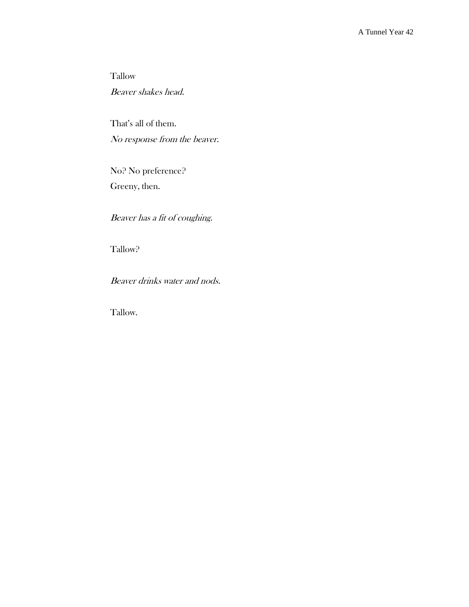Tallow Beaver shakes head.

That's all of them. No response from the beaver.

No? No preference? Greeny, then.

Beaver has a fit of coughing.

Tallow?

Beaver drinks water and nods.

Tallow.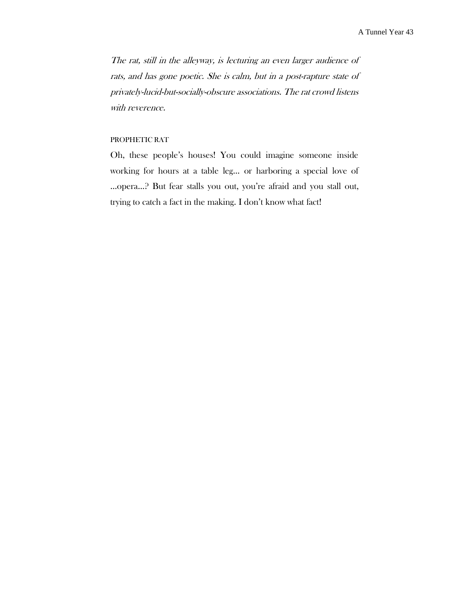The rat, still in the alleyway, is lecturing an even larger audience of rats, and has gone poetic. She is calm, but in a post-rapture state of privately-lucid-but-socially-obscure associations. The rat crowd listens with reverence.

# PROPHETIC RAT

Oh, these people's houses! You could imagine someone inside working for hours at a table leg… or harboring a special love of …opera…? But fear stalls you out, you're afraid and you stall out, trying to catch a fact in the making. I don't know what fact!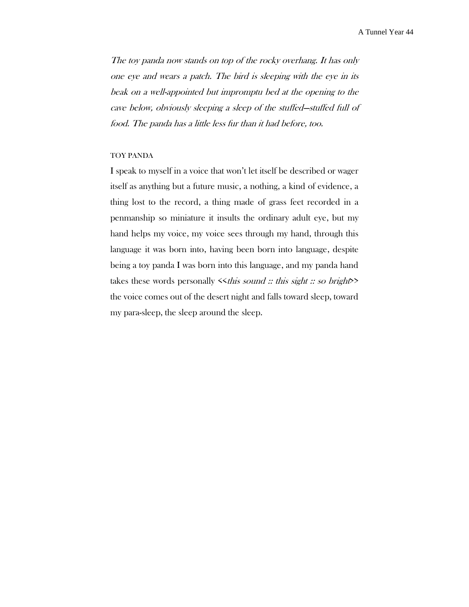The toy panda now stands on top of the rocky overhang. It has only one eye and wears a patch. The bird is sleeping with the eye in its beak on <sup>a</sup> well-appointed but impromptu bed at the opening to the cave below, obviously sleeping a sleep of the stuffed—stuffed full of food. The panda has a little less fur than it had before, too.

### TOY PANDA

I speak to myself in a voice that won't let itself be described or wager itself as anything but a future music, a nothing, a kind of evidence, a thing lost to the record, a thing made of grass feet recorded in a penmanship so miniature it insults the ordinary adult eye, but my hand helps my voice, my voice sees through my hand, through this language it was born into, having been born into language, despite being a toy panda I was born into this language, and my panda hand takes these words personally  $\leq$ this sound :: this sight :: so bright the voice comes out of the desert night and falls toward sleep, toward my para-sleep, the sleep around the sleep.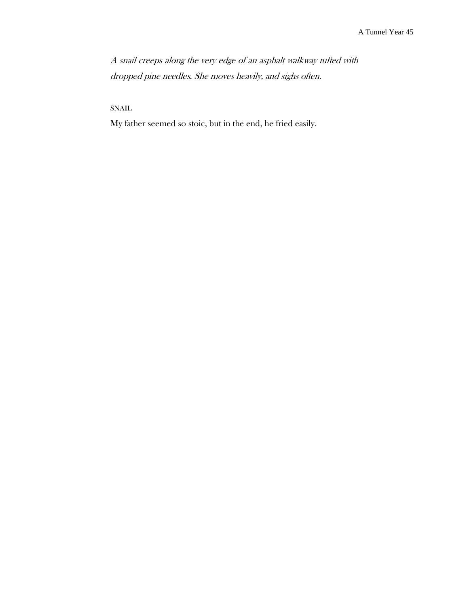A snail creeps along the very edge of an asphalt walkway tufted with dropped pine needles. She moves heavily, and sighs often.

SNAIL

My father seemed so stoic, but in the end, he fried easily.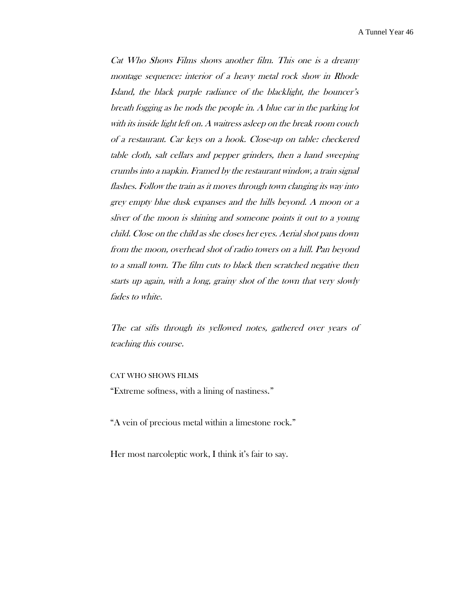A Tunnel Year 46

Cat Who Shows Films shows another film. This one is a dreamy montage sequence: interior of a heavy metal rock show in Rhode Island, the black purple radiance of the blacklight, the bouncer's breath fogging as he nods the people in. A blue car in the parking lot with its inside light left on. A waitress asleep on the break room couch of a restaurant. Car keys on a hook. Close-up on table: checkered table cloth, salt cellars and pepper grinders, then a hand sweeping crumbs into a napkin. Framed by the restaurant window, a train signal flashes. Follow the train as it moves through town clanging its way into grey empty blue dusk expanses and the hills beyond. A moon or <sup>a</sup> sliver of the moon is shining and someone points it out to a young child. Close on the child as she closes her eyes. Aerial shot pans down from the moon, overhead shot of radio towers on a hill. Pan beyond to a small town. The film cuts to black then scratched negative then starts up again, with a long, grainy shot of the town that very slowly fades to white.

The cat sifts through its yellowed notes, gathered over years of teaching this course.

#### CAT WHO SHOWS FILMS

"Extreme softness, with a lining of nastiness."

"A vein of precious metal within a limestone rock."

Her most narcoleptic work, I think it's fair to say.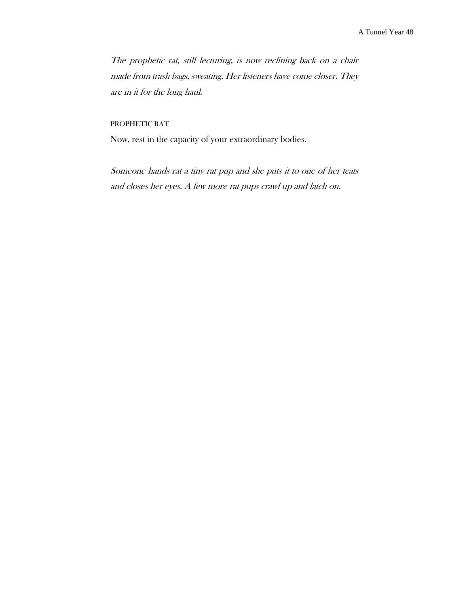The prophetic rat, still lecturing, is now reclining back on a chair made from trash bags, sweating. Her listeners have come closer. They are in it for the long haul.

## PROPHETIC RAT

Now, rest in the capacity of your extraordinary bodies.

Someone hands rat a tiny rat pup and she puts it to one of her teats and closes her eyes. A few more rat pups crawl up and latch on.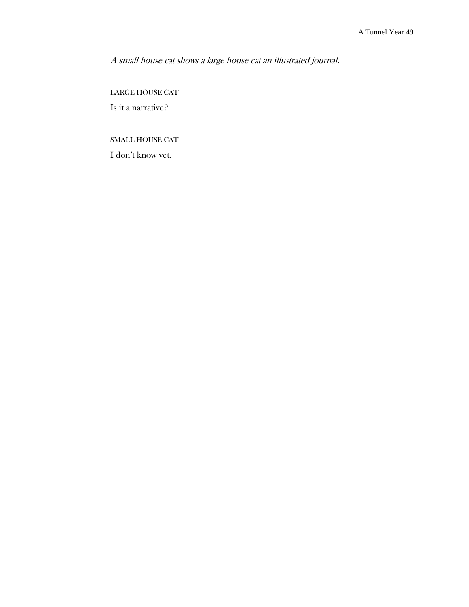A small house cat shows a large house cat an illustrated journal.

LARGE HOUSE CAT Is it a narrative?

SMALL HOUSE CAT

I don't know yet.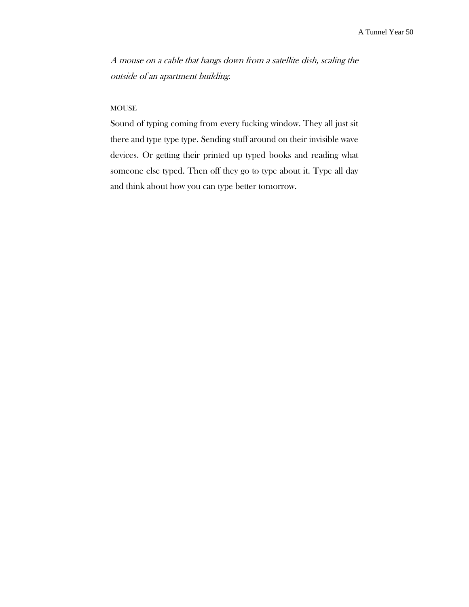A mouse on a cable that hangs down from a satellite dish, scaling the outside of an apartment building.

## **MOUSE**

Sound of typing coming from every fucking window. They all just sit there and type type type. Sending stuff around on their invisible wave devices. Or getting their printed up typed books and reading what someone else typed. Then off they go to type about it. Type all day and think about how you can type better tomorrow.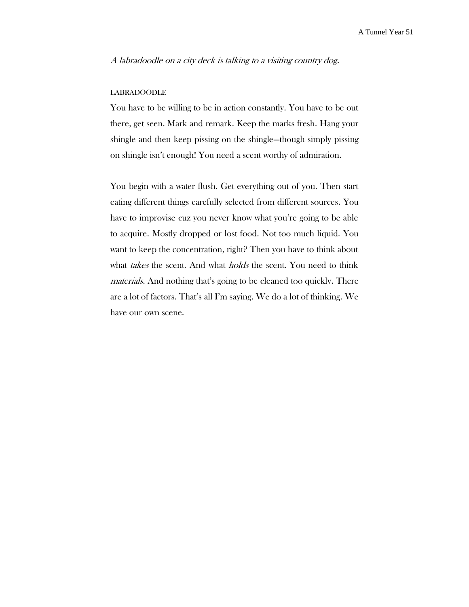A labradoodle on a city deck is talking to a visiting country dog.

#### LABRADOODLE

You have to be willing to be in action constantly. You have to be out there, get seen. Mark and remark. Keep the marks fresh. Hang your shingle and then keep pissing on the shingle—though simply pissing on shingle isn't enough! You need a scent worthy of admiration.

You begin with a water flush. Get everything out of you. Then start eating different things carefully selected from different sources. You have to improvise cuz you never know what you're going to be able to acquire. Mostly dropped or lost food. Not too much liquid. You want to keep the concentration, right? Then you have to think about what takes the scent. And what *holds* the scent. You need to think materials. And nothing that's going to be cleaned too quickly. There are a lot of factors. That's all I'm saying. We do a lot of thinking. We have our own scene.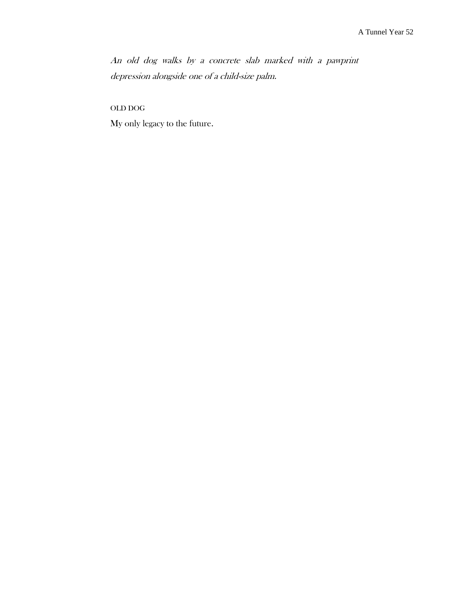An old dog walks by a concrete slab marked with a pawprint depression alongside one of a child-size palm.

OLD DOG

My only legacy to the future.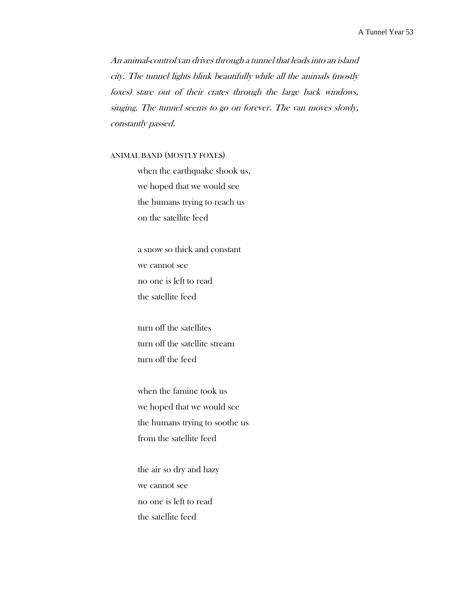An animal-control van drives through a tunnel that leads into an island city. The tunnel lights blink beautifully while all the animals (mostly foxes) stare out of their crates through the large back windows, singing. The tunnel seems to go on forever. The van moves slowly, constantly passed.

# ANIMAL BAND (MOSTLY FOXES)

when the earthquake shook us, we hoped that we would see the humans trying to reach us on the satellite feed

a snow so thick and constant we cannot see no one is left to read the satellite feed

turn off the satellites turn off the satellite stream turn off the feed

when the famine took us we hoped that we would see the humans trying to soothe us from the satellite feed

the air so dry and hazy we cannot see no one is left to read the satellite feed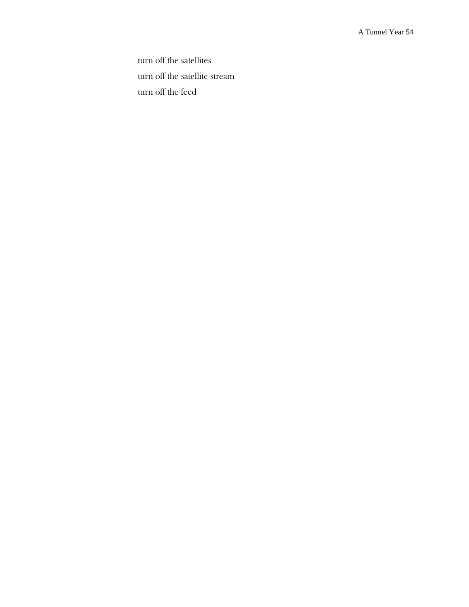turn off the satellites turn off the satellite stream turn off the feed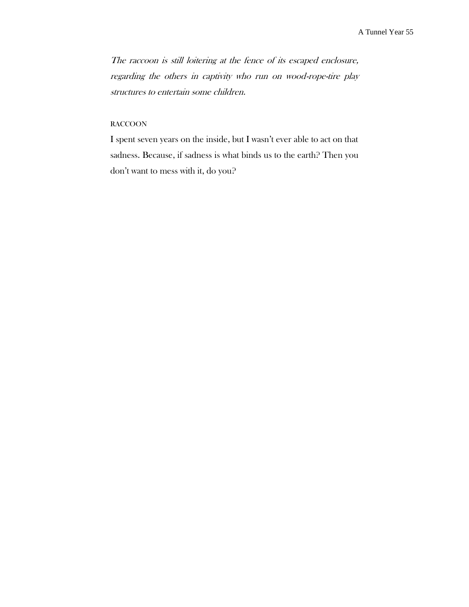The raccoon is still loitering at the fence of its escaped enclosure, regarding the others in captivity who run on wood-rope-tire play structures to entertain some children.

# RACCOON

I spent seven years on the inside, but I wasn't ever able to act on that sadness. Because, if sadness is what binds us to the earth? Then you don't want to mess with it, do you?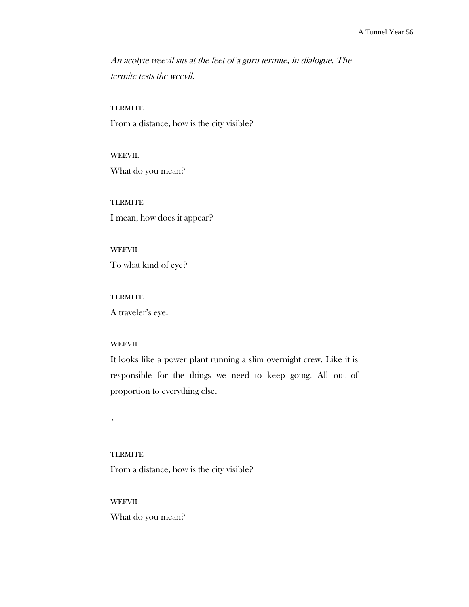An acolyte weevil sits at the feet of a guru termite, in dialogue. The termite tests the weevil.

#### **TERMITE**

From a distance, how is the city visible?

WEEVIL What do you mean?

**TERMITE** I mean, how does it appear?

WEEVIL To what kind of eye?

**TERMITE** A traveler's eye.

### WEEVIL

It looks like a power plant running a slim overnight crew. Like it is responsible for the things we need to keep going. All out of proportion to everything else.

\*

# **TERMITE**

From a distance, how is the city visible?

WEEVIL

What do you mean?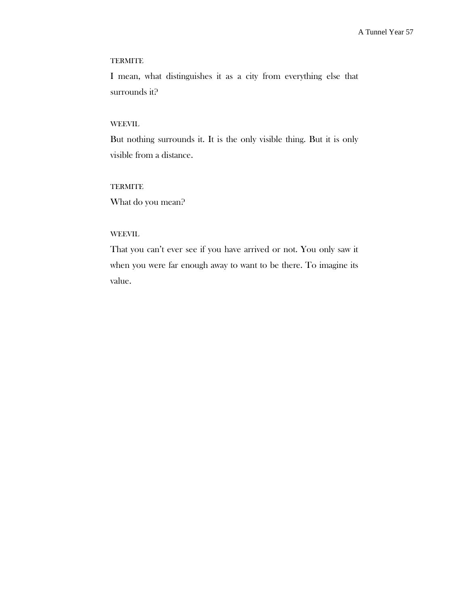## **TERMITE**

I mean, what distinguishes it as a city from everything else that surrounds it?

## WEEVIL

But nothing surrounds it. It is the only visible thing. But it is only visible from a distance.

# **TERMITE**

What do you mean?

# WEEVIL

That you can't ever see if you have arrived or not. You only saw it when you were far enough away to want to be there. To imagine its value.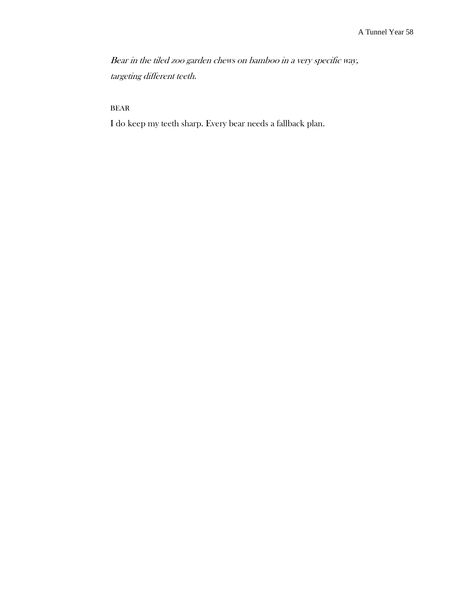Bear in the tiled zoo garden chews on bamboo in a very specific way, targeting different teeth.

BEAR

I do keep my teeth sharp. Every bear needs a fallback plan.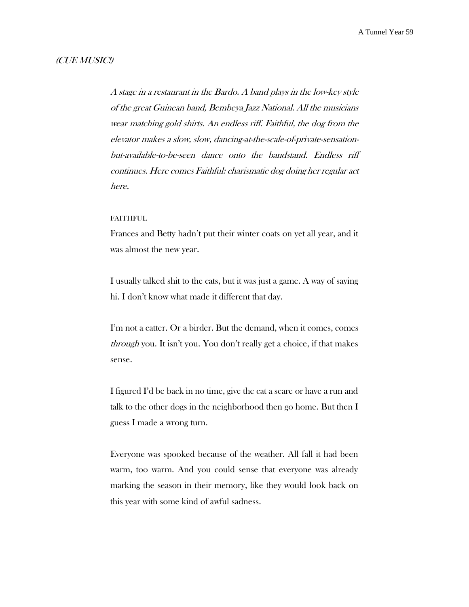# (CUE MUSIC!)

A stage in a restaurant in the Bardo. A band plays in the low-key style of the great Guinean band, Bembeya Jazz National. All the musicians wear matching gold shirts. An endless riff. Faithful, the dog from the elevator makes a slow, slow, dancing-at-the-scale-of-private-sensationbut-available-to-be-seen dance onto the bandstand. Endless riff continues. Here comes Faithful: charismatic dog doing her regular act here.

#### FAITHFUL

Frances and Betty hadn't put their winter coats on yet all year, and it was almost the new year.

I usually talked shit to the cats, but it was just a game. A way of saying hi. I don't know what made it different that day.

I'm not a catter. Or a birder. But the demand, when it comes, comes through you. It isn't you. You don't really get a choice, if that makes sense.

I figured I'd be back in no time, give the cat a scare or have a run and talk to the other dogs in the neighborhood then go home. But then I guess I made a wrong turn.

Everyone was spooked because of the weather. All fall it had been warm, too warm. And you could sense that everyone was already marking the season in their memory, like they would look back on this year with some kind of awful sadness.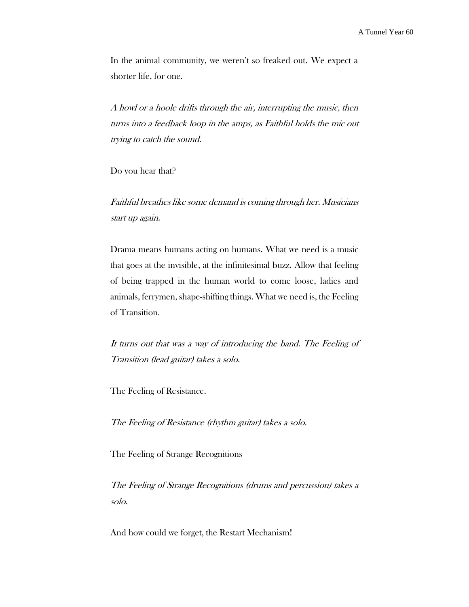In the animal community, we weren't so freaked out. We expect a shorter life, for one.

A howl or a hoole drifts through the air, interrupting the music, then turns into a feedback loop in the amps, as Faithful holds the mic out trying to catch the sound.

Do you hear that?

Faithful breathes like some demand is coming through her. Musicians start up again.

Drama means humans acting on humans. What we need is a music that goes at the invisible, at the infinitesimal buzz. Allow that feeling of being trapped in the human world to come loose, ladies and animals, ferrymen, shape-shifting things. What we need is, the Feeling of Transition.

It turns out that was a way of introducing the band. The Feeling of Transition (lead guitar) takes a solo.

The Feeling of Resistance.

The Feeling of Resistance (rhythm guitar) takes a solo.

The Feeling of Strange Recognitions

The Feeling of Strange Recognitions (drums and percussion) takes a solo.

And how could we forget, the Restart Mechanism!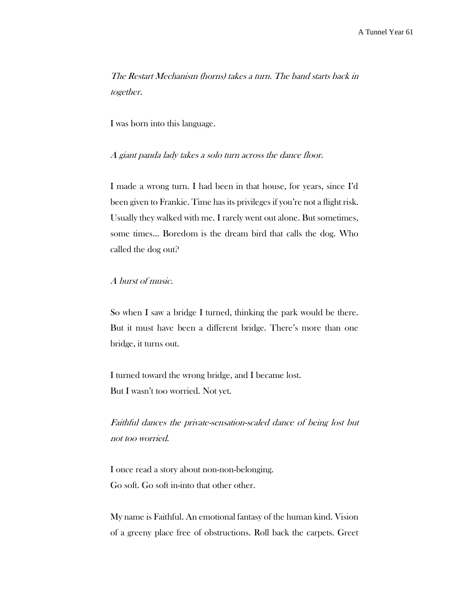The Restart Mechanism (horns) takes a turn. The band starts back in together.

I was born into this language.

A giant panda lady takes a solo turn across the dance floor.

I made a wrong turn. I had been in that house, for years, since I'd been given to Frankie. Time has its privileges if you're not a flight risk. Usually they walked with me. I rarely went out alone. But sometimes, some times… Boredom is the dream bird that calls the dog. Who called the dog out?

A burst of music.

So when I saw a bridge I turned, thinking the park would be there. But it must have been a different bridge. There's more than one bridge, it turns out.

I turned toward the wrong bridge, and I became lost. But I wasn't too worried. Not yet.

Faithful dances the private-sensation-scaled dance of being lost but not too worried.

I once read a story about non-non-belonging. Go soft. Go soft in-into that other other.

My name is Faithful. An emotional fantasy of the human kind. Vision of a greeny place free of obstructions. Roll back the carpets. Greet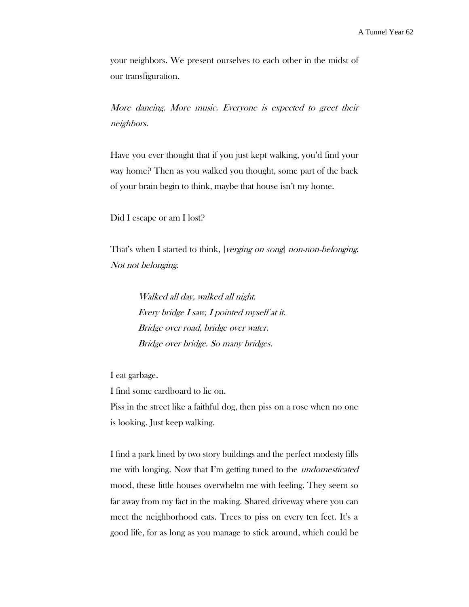your neighbors. We present ourselves to each other in the midst of our transfiguration.

More dancing. More music. Everyone is expected to greet their neighbors.

Have you ever thought that if you just kept walking, you'd find your way home? Then as you walked you thought, some part of the back of your brain begin to think, maybe that house isn't my home.

Did I escape or am I lost?

That's when I started to think, [verging on song] non-non-belonging. Not not belonging.

> Walked all day, walked all night. Every bridge I saw, I pointed myself at it. Bridge over road, bridge over water. Bridge over bridge. So many bridges.

I eat garbage.

I find some cardboard to lie on. Piss in the street like a faithful dog, then piss on a rose when no one is looking. Just keep walking.

I find a park lined by two story buildings and the perfect modesty fills me with longing. Now that I'm getting tuned to the undomesticated mood, these little houses overwhelm me with feeling. They seem so far away from my fact in the making. Shared driveway where you can meet the neighborhood cats. Trees to piss on every ten feet. It's a good life, for as long as you manage to stick around, which could be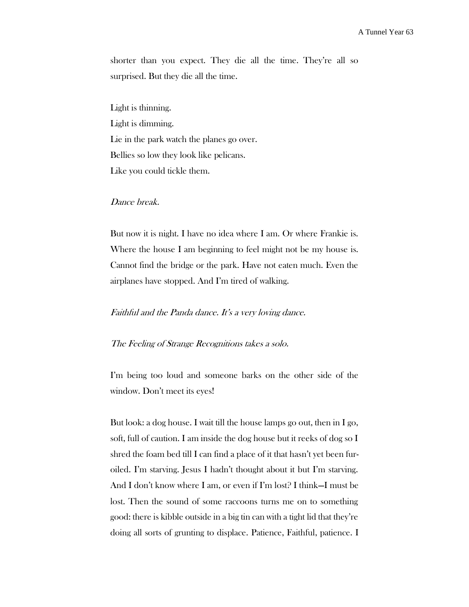shorter than you expect. They die all the time. They're all so surprised. But they die all the time.

Light is thinning. Light is dimming. Lie in the park watch the planes go over. Bellies so low they look like pelicans. Like you could tickle them.

# Dance break.

But now it is night. I have no idea where I am. Or where Frankie is. Where the house I am beginning to feel might not be my house is. Cannot find the bridge or the park. Have not eaten much. Even the airplanes have stopped. And I'm tired of walking.

# Faithful and the Panda dance. It's a very loving dance.

### The Feeling of Strange Recognitions takes a solo.

I'm being too loud and someone barks on the other side of the window. Don't meet its eyes!

But look: a dog house. I wait till the house lamps go out, then in I go, soft, full of caution. I am inside the dog house but it reeks of dog so I shred the foam bed till I can find a place of it that hasn't yet been furoiled. I'm starving. Jesus I hadn't thought about it but I'm starving. And I don't know where I am, or even if I'm lost? I think—I must be lost. Then the sound of some raccoons turns me on to something good: there is kibble outside in a big tin can with a tight lid that they're doing all sorts of grunting to displace. Patience, Faithful, patience. I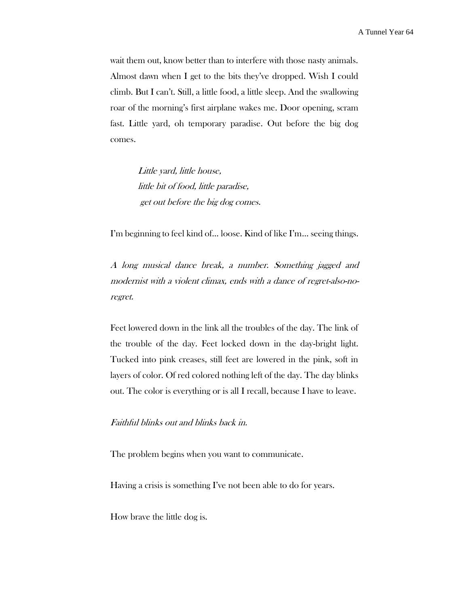wait them out, know better than to interfere with those nasty animals. Almost dawn when I get to the bits they've dropped. Wish I could climb. But I can't. Still, a little food, a little sleep. And the swallowing roar of the morning's first airplane wakes me. Door opening, scram fast. Little yard, oh temporary paradise. Out before the big dog comes.

> Little yard, little house, little bit of food, little paradise, get out before the big dog comes.

I'm beginning to feel kind of… loose. Kind of like I'm… seeing things.

A long musical dance break, a number. Something jagged and modernist with a violent climax, ends with a dance of regret-also-noregret.

Feet lowered down in the link all the troubles of the day. The link of the trouble of the day. Feet locked down in the day-bright light. Tucked into pink creases, still feet are lowered in the pink, soft in layers of color. Of red colored nothing left of the day. The day blinks out. The color is everything or is all I recall, because I have to leave.

# Faithful blinks out and blinks back in.

The problem begins when you want to communicate.

Having a crisis is something I've not been able to do for years.

How brave the little dog is.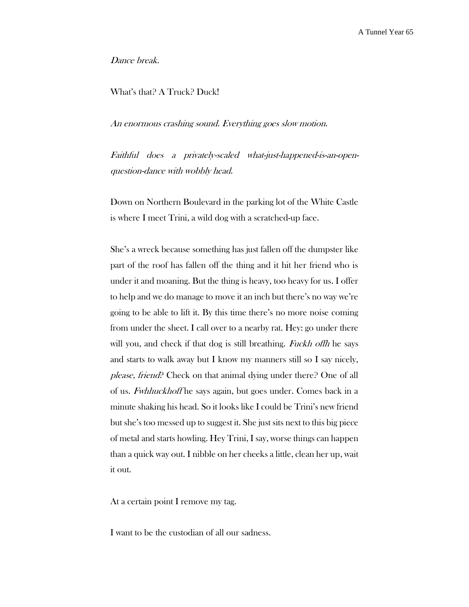Dance break.

## What's that? A Truck? Duck!

An enormous crashing sound. Everything goes slow motion.

Faithful does a privately-scaled what-just-happened-is-an-openquestion-dance with wobbly head.

Down on Northern Boulevard in the parking lot of the White Castle is where I meet Trini, a wild dog with a scratched-up face.

She's a wreck because something has just fallen off the dumpster like part of the roof has fallen off the thing and it hit her friend who is under it and moaning. But the thing is heavy, too heavy for us. I offer to help and we do manage to move it an inch but there's no way we're going to be able to lift it. By this time there's no more noise coming from under the sheet. I call over to a nearby rat. Hey: go under there will you, and check if that dog is still breathing. Fuckh of the says and starts to walk away but I know my manners still so I say nicely, please, friend? Check on that animal dying under there? One of all of us. Fwhhuckhoff he says again, but goes under. Comes back in a minute shaking his head. So it looks like I could be Trini's new friend but she's too messed up to suggest it. She just sits next to this big piece of metal and starts howling. Hey Trini, I say, worse things can happen than a quick way out. I nibble on her cheeks a little, clean her up, wait it out.

At a certain point I remove my tag.

I want to be the custodian of all our sadness.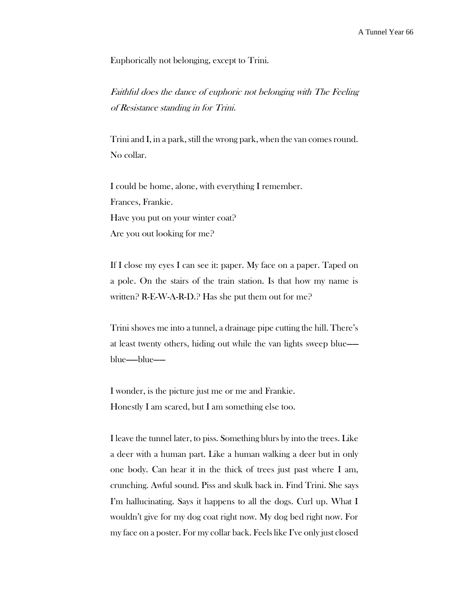Euphorically not belonging, except to Trini.

Faithful does the dance of euphoric not belonging with The Feeling of Resistance standing in for Trini.

Trini and I, in a park, still the wrong park, when the van comes round. No collar.

I could be home, alone, with everything I remember. Frances, Frankie. Have you put on your winter coat? Are you out looking for me?

If I close my eyes I can see it: paper. My face on a paper. Taped on a pole. On the stairs of the train station. Is that how my name is written? R-E-W-A-R-D.? Has she put them out for me?

Trini shoves me into a tunnel, a drainage pipe cutting the hill. There's at least twenty others, hiding out while the van lights sweep blue— blue——blue——

I wonder, is the picture just me or me and Frankie. Honestly I am scared, but I am something else too.

I leave the tunnel later, to piss. Something blurs by into the trees. Like a deer with a human part. Like a human walking a deer but in only one body. Can hear it in the thick of trees just past where I am, crunching. Awful sound. Piss and skulk back in. Find Trini. She says I'm hallucinating. Says it happens to all the dogs. Curl up. What I wouldn't give for my dog coat right now. My dog bed right now. For my face on a poster. For my collar back. Feels like I've only just closed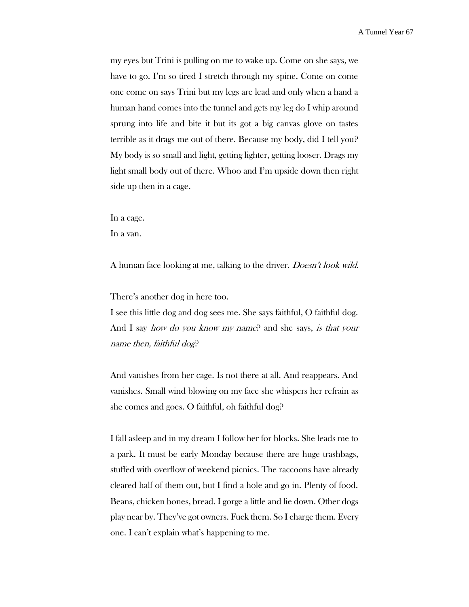my eyes but Trini is pulling on me to wake up. Come on she says, we have to go. I'm so tired I stretch through my spine. Come on come one come on says Trini but my legs are lead and only when a hand a human hand comes into the tunnel and gets my leg do I whip around sprung into life and bite it but its got a big canvas glove on tastes terrible as it drags me out of there. Because my body, did I tell you? My body is so small and light, getting lighter, getting looser. Drags my light small body out of there. Whoo and I'm upside down then right side up then in a cage.

In a cage.

In a van.

A human face looking at me, talking to the driver. Doesn't look wild.

There's another dog in here too.

I see this little dog and dog sees me. She says faithful, O faithful dog. And I say *how do you know my name*? and she says, *is that your* name then, faithful dog?

And vanishes from her cage. Is not there at all. And reappears. And vanishes. Small wind blowing on my face she whispers her refrain as she comes and goes. O faithful, oh faithful dog?

I fall asleep and in my dream I follow her for blocks. She leads me to a park. It must be early Monday because there are huge trashbags, stuffed with overflow of weekend picnics. The raccoons have already cleared half of them out, but I find a hole and go in. Plenty of food. Beans, chicken bones, bread. I gorge a little and lie down. Other dogs play near by. They've got owners. Fuck them. So I charge them. Every one. I can't explain what's happening to me.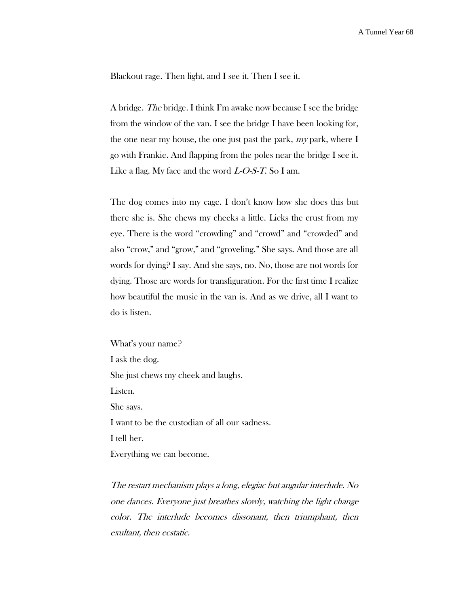Blackout rage. Then light, and I see it. Then I see it.

A bridge. The bridge. I think I'm awake now because I see the bridge from the window of the van. I see the bridge I have been looking for, the one near my house, the one just past the park,  $my$  park, where I go with Frankie. And flapping from the poles near the bridge I see it. Like a flag. My face and the word  $L-O-S-T$ . So I am.

The dog comes into my cage. I don't know how she does this but there she is. She chews my cheeks a little. Licks the crust from my eye. There is the word "crowding" and "crowd" and "crowded" and also "crow," and "grow," and "groveling." She says. And those are all words for dying? I say. And she says, no. No, those are not words for dying. Those are words for transfiguration. For the first time I realize how beautiful the music in the van is. And as we drive, all I want to do is listen.

What's your name? I ask the dog. She just chews my cheek and laughs. Listen. She says. I want to be the custodian of all our sadness. I tell her. Everything we can become.

The restart mechanism plays a long, elegiac but angular interlude. No one dances. Everyone just breathes slowly, watching the light change color. The interlude becomes dissonant, then triumphant, then exultant, then ecstatic.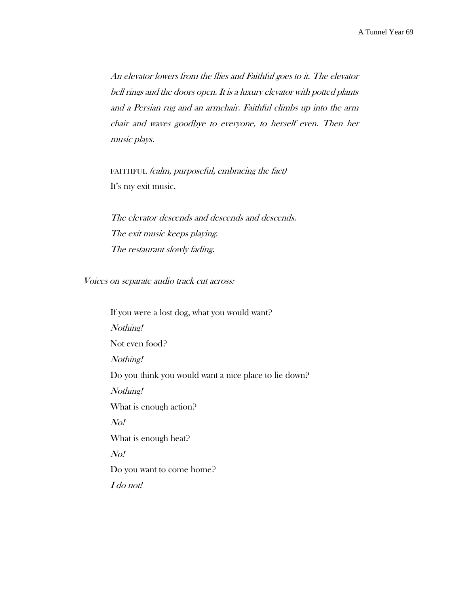An elevator lowers from the flies and Faithful goes to it. The elevator bell rings and the doors open. It is a luxury elevator with potted plants and a Persian rug and an armchair. Faithful climbs up into the arm chair and waves goodbye to everyone, to herself even. Then her music plays.

FAITHFUL (calm, purposeful, embracing the fact) It's my exit music.

The elevator descends and descends and descends. The exit music keeps playing. The restaurant slowly fading.

Voices on separate audio track cut across:

If you were a lost dog, what you would want? Nothing! Not even food? Nothing! Do you think you would want a nice place to lie down? Nothing! What is enough action? No! What is enough heat? No! Do you want to come home? I do not!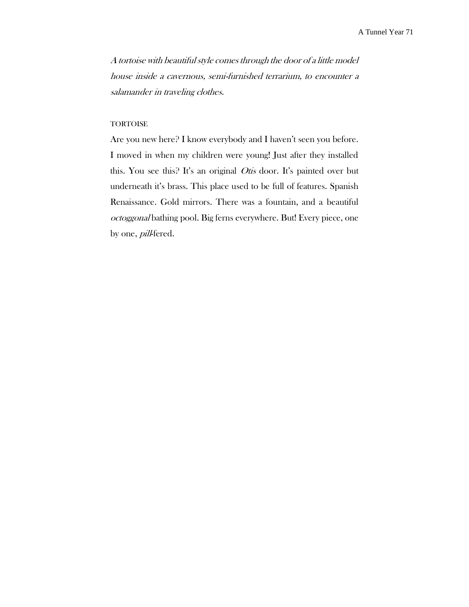A tortoise with beautiful style comes through the door of a little model house inside a cavernous, semi-furnished terrarium, to encounter a salamander in traveling clothes.

### **TORTOISE**

Are you new here? I know everybody and I haven't seen you before. I moved in when my children were young! Just after they installed this. You see this? It's an original *Otis* door. It's painted over but underneath it's brass. This place used to be full of features. Spanish Renaissance. Gold mirrors. There was a fountain, and a beautiful octoggonal bathing pool. Big ferns everywhere. But! Every piece, one by one, *pill*-fered.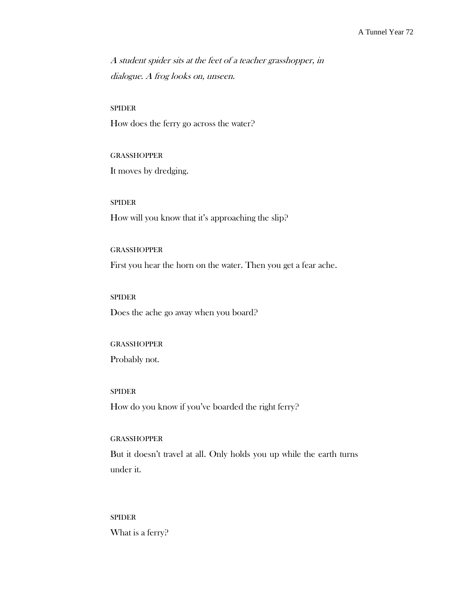A student spider sits at the feet of a teacher grasshopper, in dialogue. A frog looks on, unseen.

#### SPIDER

How does the ferry go across the water?

GRASSHOPPER It moves by dredging.

SPIDER How will you know that it's approaching the slip?

GRASSHOPPER First you hear the horn on the water. Then you get a fear ache.

SPIDER Does the ache go away when you board?

## GRASSHOPPER

Probably not.

SPIDER

How do you know if you've boarded the right ferry?

# GRASSHOPPER

But it doesn't travel at all. Only holds you up while the earth turns under it.

## SPIDER

What is a ferry?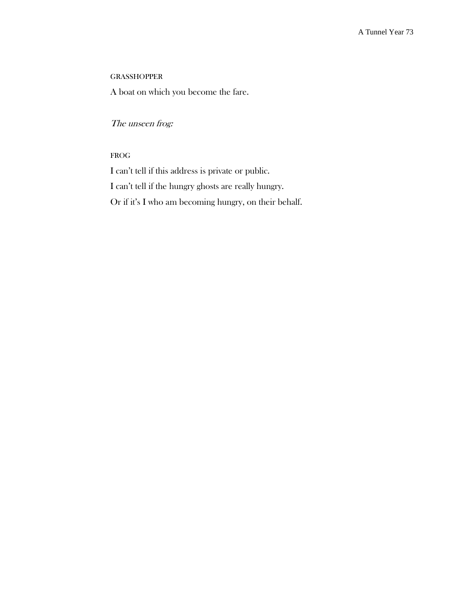# **GRASSHOPPER**

A boat on which you become the fare.

# The unseen frog:

# FROG

I can't tell if this address is private or public. I can't tell if the hungry ghosts are really hungry. Or if it's I who am becoming hungry, on their behalf.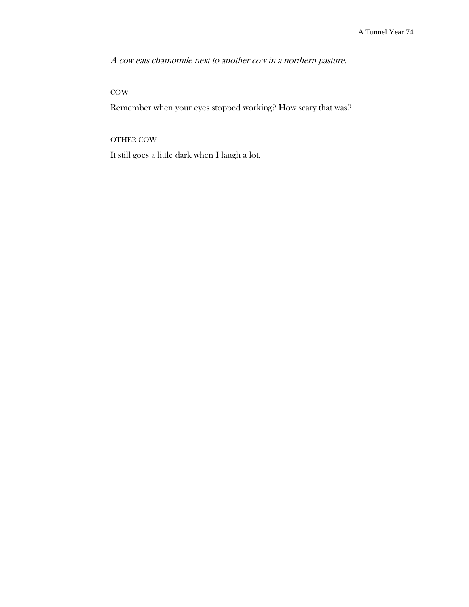A cow eats chamomile next to another cow in a northern pasture.

# **COW**

Remember when your eyes stopped working? How scary that was?

# OTHER COW

It still goes a little dark when I laugh a lot.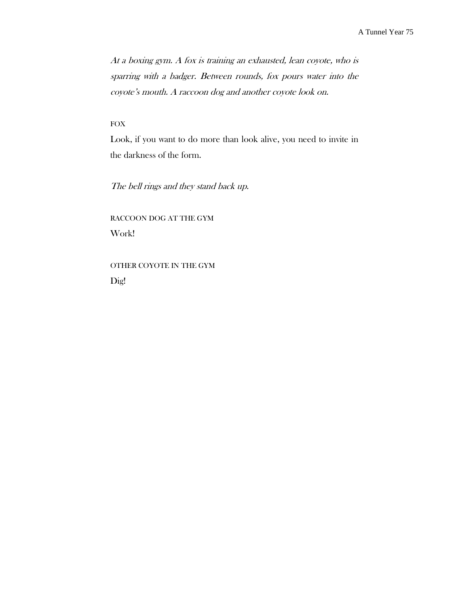At a boxing gym. A fox is training an exhausted, lean coyote, who is sparring with a badger. Between rounds, fox pours water into the coyote's mouth. A raccoon dog and another coyote look on.

## FOX

Look, if you want to do more than look alive, you need to invite in the darkness of the form.

The bell rings and they stand back up.

RACCOON DOG AT THE GYM Work!

# OTHER COYOTE IN THE GYM Dig!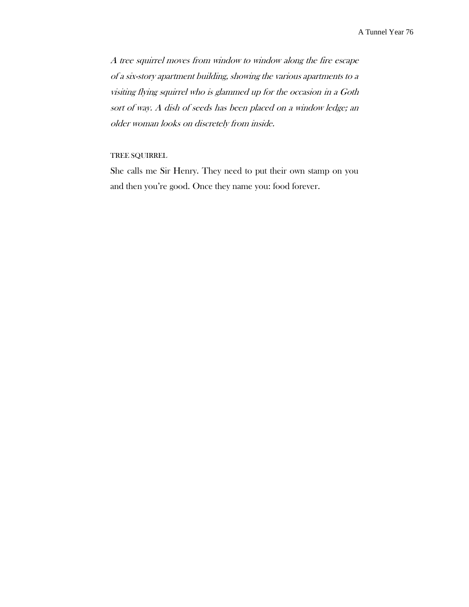A tree squirrel moves from window to window along the fire escape of a six-story apartment building, showing the various apartments to a visiting flying squirrel who is glammed up for the occasion in a Goth sort of way. A dish of seeds has been placed on a window ledge; an older woman looks on discretely from inside.

## TREE SQUIRREL

She calls me Sir Henry. They need to put their own stamp on you and then you're good. Once they name you: food forever.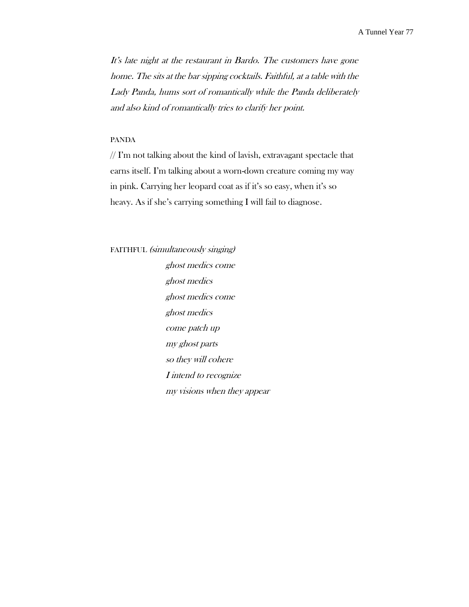It's late night at the restaurant in Bardo. The customers have gone home. The sits at the bar sipping cocktails. Faithful, at a table with the Lady Panda, hums sort of romantically while the Panda deliberately and also kind of romantically tries to clarify her point.

#### PANDA

 $//$  I'm not talking about the kind of lavish, extravagant spectacle that earns itself. I'm talking about a worn-down creature coming my way in pink. Carrying her leopard coat as if it's so easy, when it's so heavy. As if she's carrying something I will fail to diagnose.

# FAITHFUL (simultaneously singing)

ghost medics come ghost medics ghost medics come ghost medics come patch up my ghost parts so they will cohere I intend to recognize my visions when they appear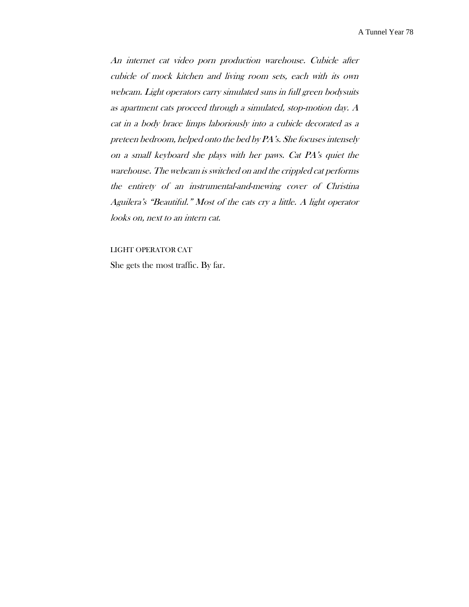An internet cat video porn production warehouse. Cubicle after cubicle of mock kitchen and living room sets, each with its own webcam. Light operators carry simulated suns in full green bodysuits as apartment cats proceed through a simulated, stop-motion day. A cat in a body brace limps laboriously into a cubicle decorated as <sup>a</sup> preteen bedroom, helped onto the bed by PA's. She focuses intensely on a small keyboard she plays with her paws. Cat PA's quiet the warehouse. The webcam is switched on and the crippled cat performs the entirety of an instrumental-and-mewing cover of Christina Aguilera's "Beautiful." Most of the cats cry a little. A light operator looks on, next to an intern cat.

LIGHT OPERATOR CAT

She gets the most traffic. By far.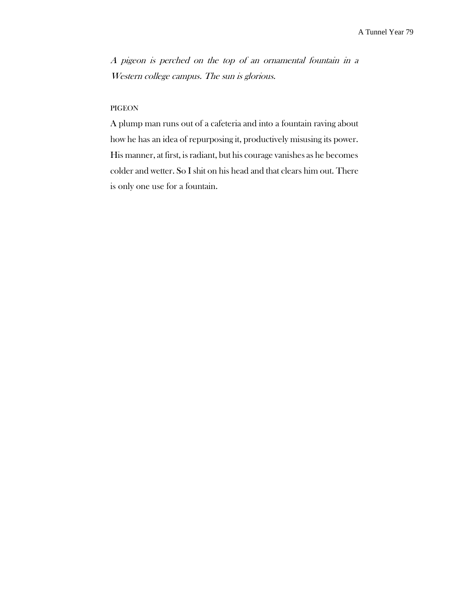A pigeon is perched on the top of an ornamental fountain in a Western college campus. The sun is glorious.

## PIGEON

A plump man runs out of a cafeteria and into a fountain raving about how he has an idea of repurposing it, productively misusing its power. His manner, at first, is radiant, but his courage vanishes as he becomes colder and wetter. So I shit on his head and that clears him out. There is only one use for a fountain.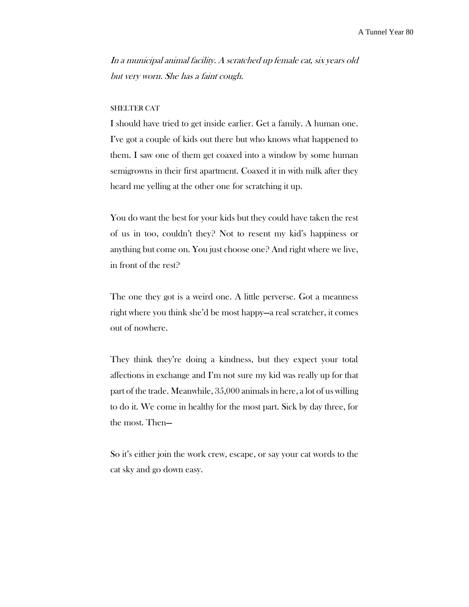In a municipal animal facility. A scratched up female cat, six years old but very worn. She has a faint cough.

#### SHELTER CAT

I should have tried to get inside earlier. Get a family. A human one. I've got a couple of kids out there but who knows what happened to them. I saw one of them get coaxed into a window by some human semigrowns in their first apartment. Coaxed it in with milk after they heard me yelling at the other one for scratching it up.

You do want the best for your kids but they could have taken the rest of us in too, couldn't they? Not to resent my kid's happiness or anything but come on. You just choose one? And right where we live, in front of the rest?

The one they got is a weird one. A little perverse. Got a meanness right where you think she'd be most happy—a real scratcher, it comes out of nowhere.

They think they're doing a kindness, but they expect your total affections in exchange and I'm not sure my kid was really up for that part of the trade. Meanwhile, 35,000 animals in here, a lot of us willing to do it. We come in healthy for the most part. Sick by day three, for the most. Then—

So it's either join the work crew, escape, or say your cat words to the cat sky and go down easy.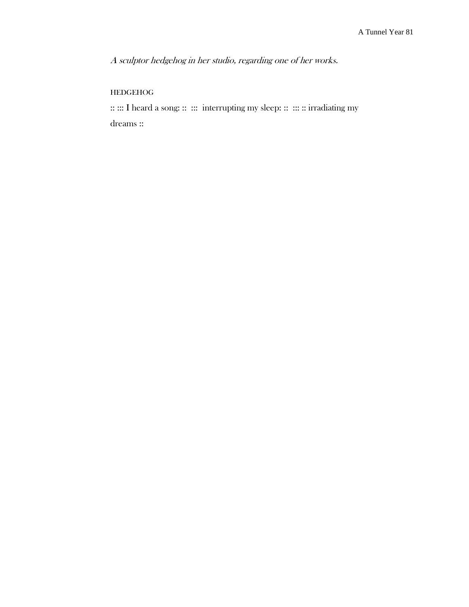A sculptor hedgehog in her studio, regarding one of her works.

# HEDGEHOG

:: ::: I heard a song: :: ::: interrupting my sleep: :: ::: :: irradiating my dreams ::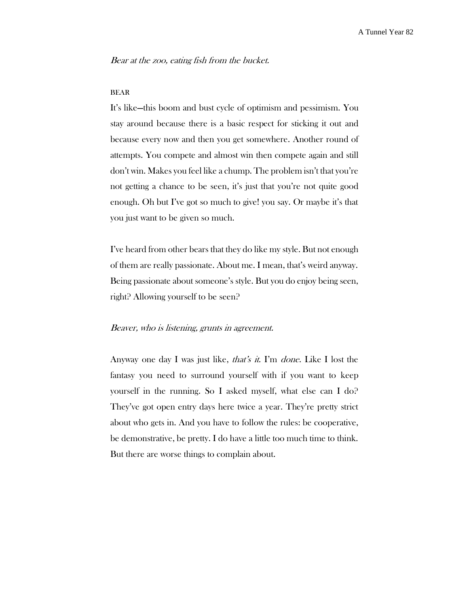Bear at the zoo, eating fish from the bucket.

#### BEAR

It's like—this boom and bust cycle of optimism and pessimism. You stay around because there is a basic respect for sticking it out and because every now and then you get somewhere. Another round of attempts. You compete and almost win then compete again and still don't win. Makes you feel like a chump. The problem isn't that you're not getting a chance to be seen, it's just that you're not quite good enough. Oh but I've got so much to give! you say. Or maybe it's that you just want to be given so much.

I've heard from other bears that they do like my style. But not enough of them are really passionate. About me. I mean, that's weird anyway. Being passionate about someone's style. But you do enjoy being seen, right? Allowing yourself to be seen?

# Beaver, who is listening, grunts in agreement.

Anyway one day I was just like, *that's it*. I'm *done*. Like I lost the fantasy you need to surround yourself with if you want to keep yourself in the running. So I asked myself, what else can I do? They've got open entry days here twice a year. They're pretty strict about who gets in. And you have to follow the rules: be cooperative, be demonstrative, be pretty. I do have a little too much time to think. But there are worse things to complain about.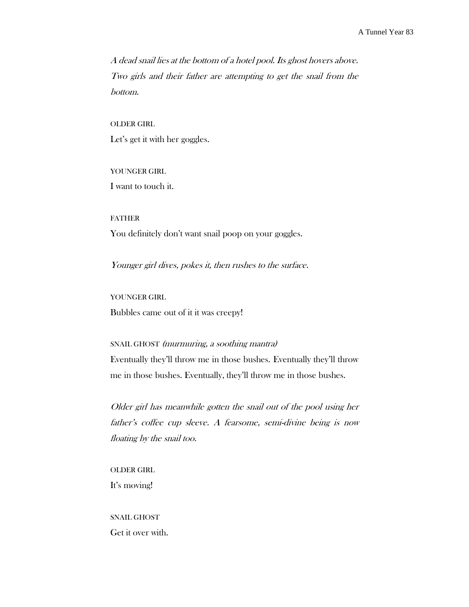A dead snail lies at the bottom of a hotel pool. Its ghost hovers above. Two girls and their father are attempting to get the snail from the bottom.

OLDER GIRL Let's get it with her goggles.

YOUNGER GIRL I want to touch it.

FATHER You definitely don't want snail poop on your goggles.

Younger girl dives, pokes it, then rushes to the surface.

YOUNGER GIRL Bubbles came out of it it was creepy!

# SNAIL GHOST (murmuring, a soothing mantra)

Eventually they'll throw me in those bushes. Eventually they'll throw me in those bushes. Eventually, they'll throw me in those bushes.

Older girl has meanwhile gotten the snail out of the pool using her father's coffee cup sleeve. A fearsome, semi-divine being is now floating by the snail too.

OLDER GIRL It's moving!

SNAIL GHOST Get it over with.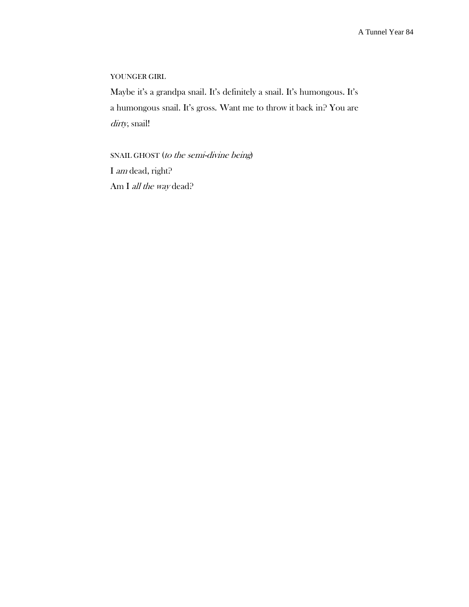# YOUNGER GIRL

Maybe it's a grandpa snail. It's definitely a snail. It's humongous. It's a humongous snail. It's gross. Want me to throw it back in? You are dirty, snail!

SNAIL GHOST (to the semi-divine being) I am dead, right? Am I *all the way* dead?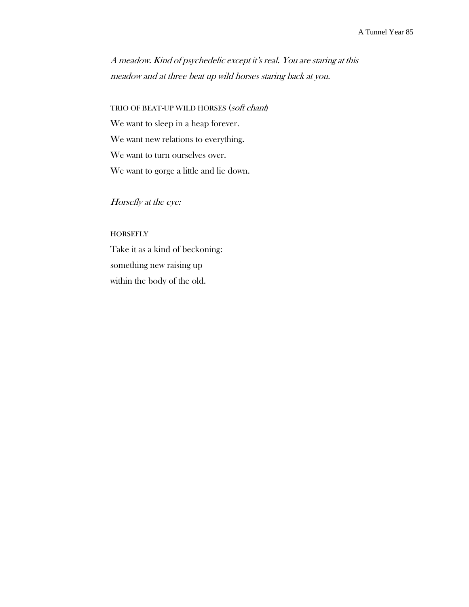A meadow. Kind of psychedelic except it's real. You are staring at this meadow and at three beat up wild horses staring back at you.

TRIO OF BEAT-UP WILD HORSES (soft chant) We want to sleep in a heap forever. We want new relations to everything. We want to turn ourselves over. We want to gorge a little and lie down.

Horsefly at the eye:

## **HORSEFLY**

Take it as a kind of beckoning: something new raising up within the body of the old.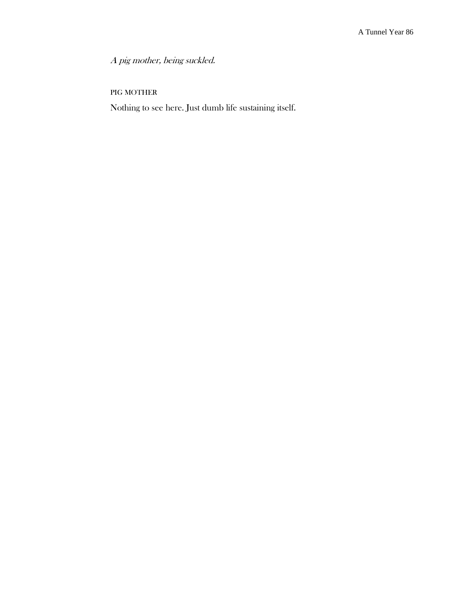A pig mother, being suckled.

PIG MOTHER

Nothing to see here. Just dumb life sustaining itself.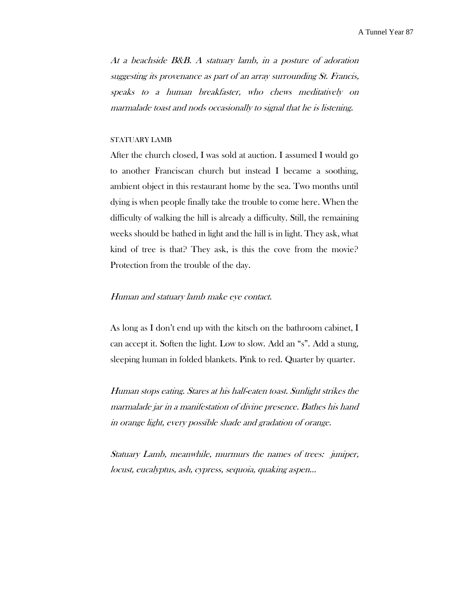At a beachside B&B. A statuary lamb, in a posture of adoration suggesting its provenance as part of an array surrounding St. Francis, speaks to a human breakfaster, who chews meditatively on marmalade toast and nods occasionally to signal that he is listening.

#### STATUARY LAMB

After the church closed, I was sold at auction. I assumed I would go to another Franciscan church but instead I became a soothing, ambient object in this restaurant home by the sea. Two months until dying is when people finally take the trouble to come here. When the difficulty of walking the hill is already a difficulty. Still, the remaining weeks should be bathed in light and the hill is in light. They ask, what kind of tree is that? They ask, is this the cove from the movie? Protection from the trouble of the day.

#### Human and statuary lamb make eye contact.

As long as I don't end up with the kitsch on the bathroom cabinet, I can accept it. Soften the light. Low to slow. Add an "s". Add a stung, sleeping human in folded blankets. Pink to red. Quarter by quarter.

Human stops eating. Stares at his half-eaten toast. Sunlight strikes the marmalade jar in a manifestation of divine presence. Bathes his hand in orange light, every possible shade and gradation of orange.

Statuary Lamb, meanwhile, murmurs the names of trees: juniper, locust, eucalyptus, ash, cypress, sequoia, quaking aspen…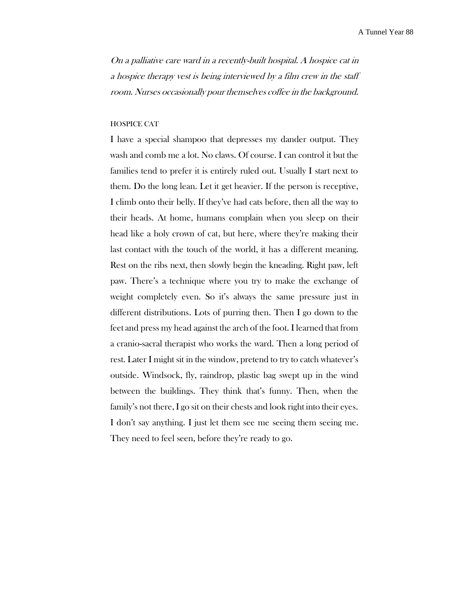On a palliative care ward in a recently-built hospital. A hospice cat in a hospice therapy vest is being interviewed by a film crew in the staff room. Nurses occasionally pour themselves coffee in the background.

#### HOSPICE CAT

I have a special shampoo that depresses my dander output. They wash and comb me a lot. No claws. Of course. I can control it but the families tend to prefer it is entirely ruled out. Usually I start next to them. Do the long lean. Let it get heavier. If the person is receptive, I climb onto their belly. If they've had cats before, then all the way to their heads. At home, humans complain when you sleep on their head like a holy crown of cat, but here, where they're making their last contact with the touch of the world, it has a different meaning. Rest on the ribs next, then slowly begin the kneading. Right paw, left paw. There's a technique where you try to make the exchange of weight completely even. So it's always the same pressure just in different distributions. Lots of purring then. Then I go down to the feet and press my head against the arch of the foot. I learned that from a cranio-sacral therapist who works the ward. Then a long period of rest. Later I might sit in the window, pretend to try to catch whatever's outside. Windsock, fly, raindrop, plastic bag swept up in the wind between the buildings. They think that's funny. Then, when the family's not there, I go sit on their chests and look right into their eyes. I don't say anything. I just let them see me seeing them seeing me. They need to feel seen, before they're ready to go.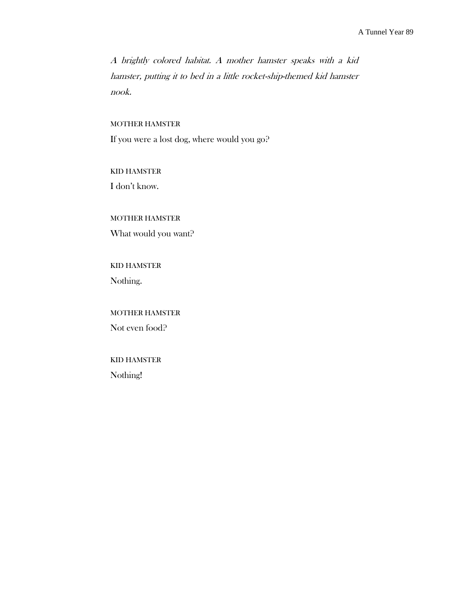A brightly colored habitat. A mother hamster speaks with a kid hamster, putting it to bed in a little rocket-ship-themed kid hamster nook.

## MOTHER HAMSTER

If you were a lost dog, where would you go?

KID HAMSTER I don't know.

# MOTHER HAMSTER

What would you want?

# KID HAMSTER

Nothing.

# MOTHER HAMSTER Not even food?

# KID HAMSTER Nothing!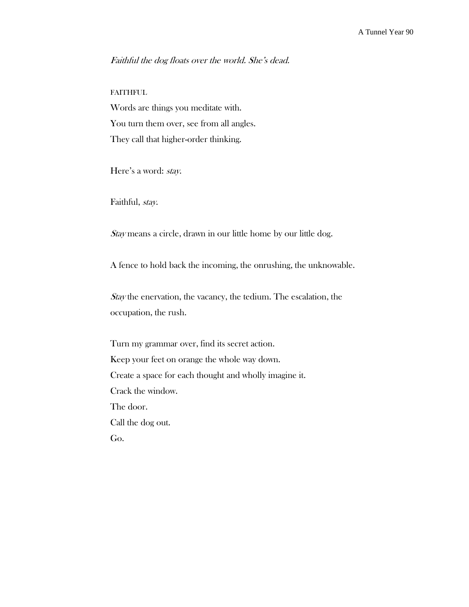# Faithful the dog floats over the world. She's dead.

# FAITHFUL

Words are things you meditate with. You turn them over, see from all angles. They call that higher-order thinking.

Here's a word: stay.

Faithful, stay.

Stay means a circle, drawn in our little home by our little dog.

A fence to hold back the incoming, the onrushing, the unknowable.

Stay the enervation, the vacancy, the tedium. The escalation, the occupation, the rush.

Turn my grammar over, find its secret action. Keep your feet on orange the whole way down. Create a space for each thought and wholly imagine it. Crack the window. The door. Call the dog out. Go.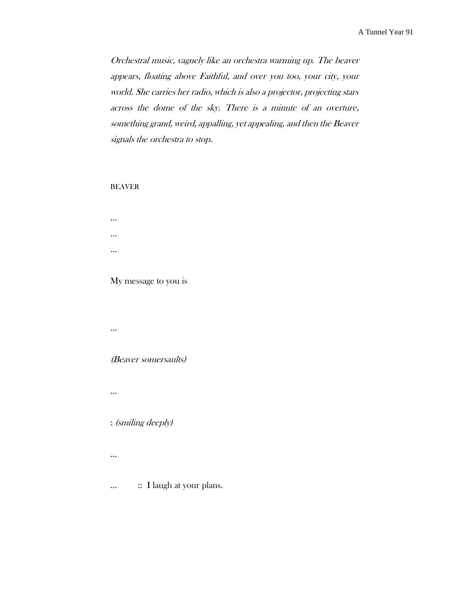Orchestral music, vaguely like an orchestra warming up. The beaver appears, floating above Faithful, and over you too, your city, your world. She carries her radio, which is also a projector, projecting stars across the dome of the sky. There is a minute of an overture, something grand, weird, appalling, yet appealing, and then the Beaver signals the orchestra to stop.

## BEAVER

… … …

### My message to you is

…

# (Beaver somersaults)

…

# : (smiling deeply)

…

… :: I laugh at your plans.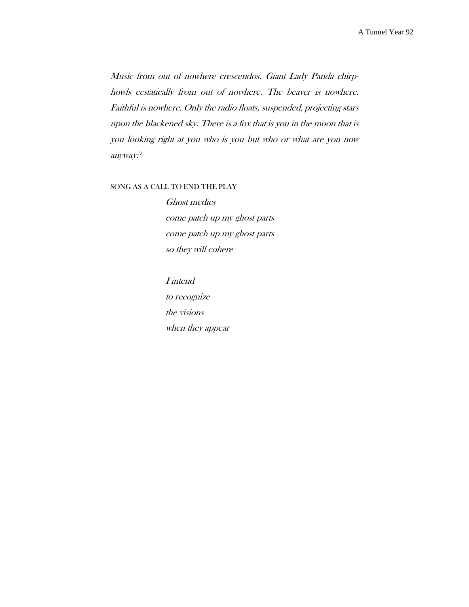Music from out of nowhere crescendos. Giant Lady Panda chirphowls ecstatically from out of nowhere. The beaver is nowhere. Faithful is nowhere. Only the radio floats, suspended, projecting stars upon the blackened sky. There is a fox that is you in the moon that is you looking right at you who is you but who or what are you now anyway?

#### SONG AS A CALL TO END THE PLAY

Ghost medics come patch up my ghost parts come patch up my ghost parts so they will cohere

I intend to recognize the visions when they appear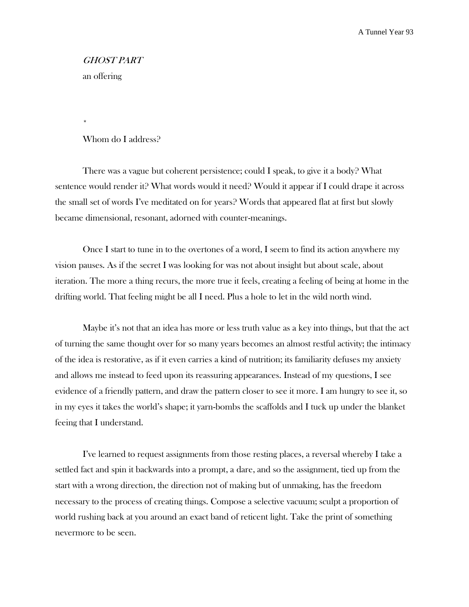# GHOST PART an offering

\*

# Whom do I address?

There was a vague but coherent persistence; could I speak, to give it a body? What sentence would render it? What words would it need? Would it appear if I could drape it across the small set of words I've meditated on for years? Words that appeared flat at first but slowly became dimensional, resonant, adorned with counter-meanings.

Once I start to tune in to the overtones of a word, I seem to find its action anywhere my vision pauses. As if the secret I was looking for was not about insight but about scale, about iteration. The more a thing recurs, the more true it feels, creating a feeling of being at home in the drifting world. That feeling might be all I need. Plus a hole to let in the wild north wind.

Maybe it's not that an idea has more or less truth value as a key into things, but that the act of turning the same thought over for so many years becomes an almost restful activity; the intimacy of the idea is restorative, as if it even carries a kind of nutrition; its familiarity defuses my anxiety and allows me instead to feed upon its reassuring appearances. Instead of my questions, I see evidence of a friendly pattern, and draw the pattern closer to see it more. I am hungry to see it, so in my eyes it takes the world's shape; it yarn-bombs the scaffolds and I tuck up under the blanket feeing that I understand.

I've learned to request assignments from those resting places, a reversal whereby I take a settled fact and spin it backwards into a prompt, a dare, and so the assignment, tied up from the start with a wrong direction, the direction not of making but of unmaking, has the freedom necessary to the process of creating things. Compose a selective vacuum; sculpt a proportion of world rushing back at you around an exact band of reticent light. Take the print of something nevermore to be seen.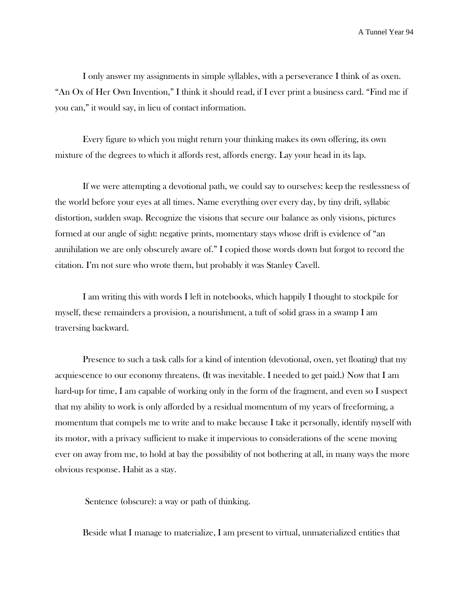I only answer my assignments in simple syllables, with a perseverance I think of as oxen. "An Ox of Her Own Invention," I think it should read, if I ever print a business card. "Find me if you can," it would say, in lieu of contact information.

Every figure to which you might return your thinking makes its own offering, its own mixture of the degrees to which it affords rest, affords energy. Lay your head in its lap.

If we were attempting a devotional path, we could say to ourselves: keep the restlessness of the world before your eyes at all times. Name everything over every day, by tiny drift, syllabic distortion, sudden swap. Recognize the visions that secure our balance as only visions, pictures formed at our angle of sight: negative prints, momentary stays whose drift is evidence of "an annihilation we are only obscurely aware of." I copied those words down but forgot to record the citation. I'm not sure who wrote them, but probably it was Stanley Cavell.

I am writing this with words I left in notebooks, which happily I thought to stockpile for myself, these remainders a provision, a nourishment, a tuft of solid grass in a swamp I am traversing backward.

Presence to such a task calls for a kind of intention (devotional, oxen, yet floating) that my acquiescence to our economy threatens. (It was inevitable. I needed to get paid.) Now that I am hard-up for time, I am capable of working only in the form of the fragment, and even so I suspect that my ability to work is only afforded by a residual momentum of my years of freeforming, a momentum that compels me to write and to make because I take it personally, identify myself with its motor, with a privacy sufficient to make it impervious to considerations of the scene moving ever on away from me, to hold at bay the possibility of not bothering at all, in many ways the more obvious response. Habit as a stay.

Sentence (obscure): a way or path of thinking.

Beside what I manage to materialize, I am present to virtual, unmaterialized entities that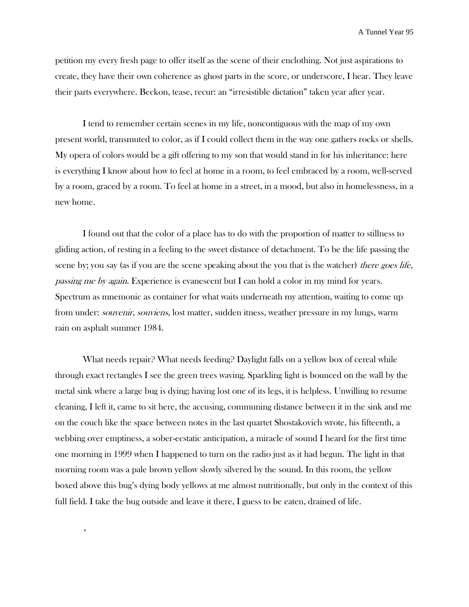petition my every fresh page to offer itself as the scene of their enclothing. Not just aspirations to create, they have their own coherence as ghost parts in the score, or underscore, I hear. They leave their parts everywhere. Beckon, tease, recur: an "irresistible dictation" taken year after year.

I tend to remember certain scenes in my life, noncontiguous with the map of my own present world, transmuted to color, as if I could collect them in the way one gathers rocks or shells. My opera of colors would be a gift offering to my son that would stand in for his inheritance: here is everything I know about how to feel at home in a room, to feel embraced by a room, well-served by a room, graced by a room. To feel at home in a street, in a mood, but also in homelessness, in a new home.

I found out that the color of a place has to do with the proportion of matter to stillness to gliding action, of resting in a feeling to the sweet distance of detachment. To be the life passing the scene by; you say (as if you are the scene speaking about the you that is the watcher) *there goes life*, passing me by again. Experience is evanescent but I can hold a color in my mind for years. Spectrum as mnemonic as container for what waits underneath my attention, waiting to come up from under: *souvenir*, *souviens*, lost matter, sudden itness, weather pressure in my lungs, warm rain on asphalt summer 1984.

What needs repair? What needs feeding? Daylight falls on a yellow box of cereal while through exact rectangles I see the green trees waving. Sparkling light is bounced on the wall by the metal sink where a large bug is dying; having lost one of its legs, it is helpless. Unwilling to resume cleaning, I left it, came to sit here, the accusing, communing distance between it in the sink and me on the couch like the space between notes in the last quartet Shostakovich wrote, his fifteenth, a webbing over emptiness, a sober-ecstatic anticipation, a miracle of sound I heard for the first time one morning in 1999 when I happened to turn on the radio just as it had begun. The light in that morning room was a pale brown yellow slowly silvered by the sound. In this room, the yellow boxed above this bug's dying body yellows at me almost nutritionally, but only in the context of this full field. I take the bug outside and leave it there, I guess to be eaten, drained of life.

\*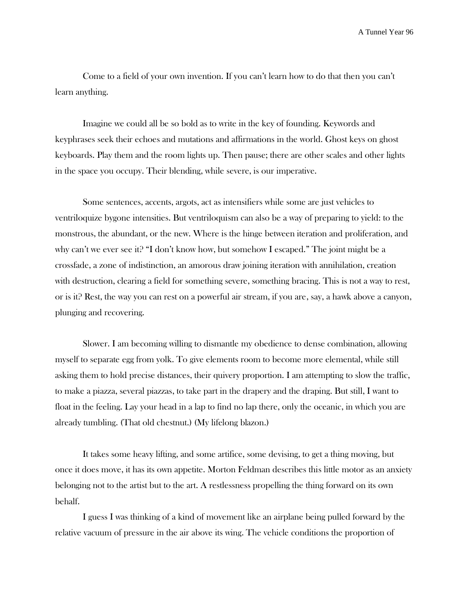Come to a field of your own invention. If you can't learn how to do that then you can't learn anything.

Imagine we could all be so bold as to write in the key of founding. Keywords and keyphrases seek their echoes and mutations and affirmations in the world. Ghost keys on ghost keyboards. Play them and the room lights up. Then pause; there are other scales and other lights in the space you occupy. Their blending, while severe, is our imperative.

Some sentences, accents, argots, act as intensifiers while some are just vehicles to ventriloquize bygone intensities. But ventriloquism can also be a way of preparing to yield: to the monstrous, the abundant, or the new. Where is the hinge between iteration and proliferation, and why can't we ever see it? "I don't know how, but somehow I escaped." The joint might be a crossfade, a zone of indistinction, an amorous draw joining iteration with annihilation, creation with destruction, clearing a field for something severe, something bracing. This is not a way to rest, or is it? Rest, the way you can rest on a powerful air stream, if you are, say, a hawk above a canyon, plunging and recovering.

Slower. I am becoming willing to dismantle my obedience to dense combination, allowing myself to separate egg from yolk. To give elements room to become more elemental, while still asking them to hold precise distances, their quivery proportion. I am attempting to slow the traffic, to make a piazza, several piazzas, to take part in the drapery and the draping. But still, I want to float in the feeling. Lay your head in a lap to find no lap there, only the oceanic, in which you are already tumbling. (That old chestnut.) (My lifelong blazon.)

It takes some heavy lifting, and some artifice, some devising, to get a thing moving, but once it does move, it has its own appetite. Morton Feldman describes this little motor as an anxiety belonging not to the artist but to the art. A restlessness propelling the thing forward on its own behalf.

I guess I was thinking of a kind of movement like an airplane being pulled forward by the relative vacuum of pressure in the air above its wing. The vehicle conditions the proportion of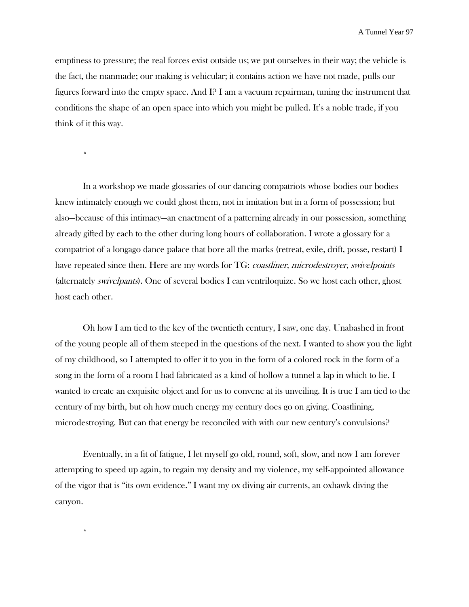emptiness to pressure; the real forces exist outside us; we put ourselves in their way; the vehicle is the fact, the manmade; our making is vehicular; it contains action we have not made, pulls our figures forward into the empty space. And I? I am a vacuum repairman, tuning the instrument that conditions the shape of an open space into which you might be pulled. It's a noble trade, if you think of it this way.

\*

\*

In a workshop we made glossaries of our dancing compatriots whose bodies our bodies knew intimately enough we could ghost them, not in imitation but in a form of possession; but also—because of this intimacy—an enactment of a patterning already in our possession, something already gifted by each to the other during long hours of collaboration. I wrote a glossary for a compatriot of a longago dance palace that bore all the marks (retreat, exile, drift, posse, restart) I have repeated since then. Here are my words for TG: coastliner, microdestroyer, swivelpoints (alternately swivelpants). One of several bodies I can ventriloquize. So we host each other, ghost host each other.

Oh how I am tied to the key of the twentieth century, I saw, one day. Unabashed in front of the young people all of them steeped in the questions of the next. I wanted to show you the light of my childhood, so I attempted to offer it to you in the form of a colored rock in the form of a song in the form of a room I had fabricated as a kind of hollow a tunnel a lap in which to lie. I wanted to create an exquisite object and for us to convene at its unveiling. It is true I am tied to the century of my birth, but oh how much energy my century does go on giving. Coastlining, microdestroying. But can that energy be reconciled with with our new century's convulsions?

Eventually, in a fit of fatigue, I let myself go old, round, soft, slow, and now I am forever attempting to speed up again, to regain my density and my violence, my self-appointed allowance of the vigor that is "its own evidence." I want my ox diving air currents, an oxhawk diving the canyon.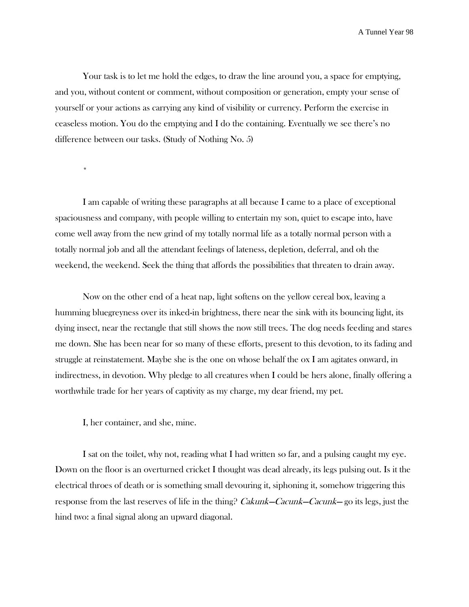Your task is to let me hold the edges, to draw the line around you, a space for emptying, and you, without content or comment, without composition or generation, empty your sense of yourself or your actions as carrying any kind of visibility or currency. Perform the exercise in ceaseless motion. You do the emptying and I do the containing. Eventually we see there's no difference between our tasks. (Study of Nothing No. 5)

I am capable of writing these paragraphs at all because I came to a place of exceptional spaciousness and company, with people willing to entertain my son, quiet to escape into, have come well away from the new grind of my totally normal life as a totally normal person with a totally normal job and all the attendant feelings of lateness, depletion, deferral, and oh the weekend, the weekend. Seek the thing that affords the possibilities that threaten to drain away.

Now on the other end of a heat nap, light softens on the yellow cereal box, leaving a humming bluegreyness over its inked-in brightness, there near the sink with its bouncing light, its dying insect, near the rectangle that still shows the now still trees. The dog needs feeding and stares me down. She has been near for so many of these efforts, present to this devotion, to its fading and struggle at reinstatement. Maybe she is the one on whose behalf the ox I am agitates onward, in indirectness, in devotion. Why pledge to all creatures when I could be hers alone, finally offering a worthwhile trade for her years of captivity as my charge, my dear friend, my pet.

I, her container, and she, mine.

\*

I sat on the toilet, why not, reading what I had written so far, and a pulsing caught my eye. Down on the floor is an overturned cricket I thought was dead already, its legs pulsing out. Is it the electrical throes of death or is something small devouring it, siphoning it, somehow triggering this response from the last reserves of life in the thing? Cakunk—Cacunk—Cacunk— go its legs, just the hind two: a final signal along an upward diagonal.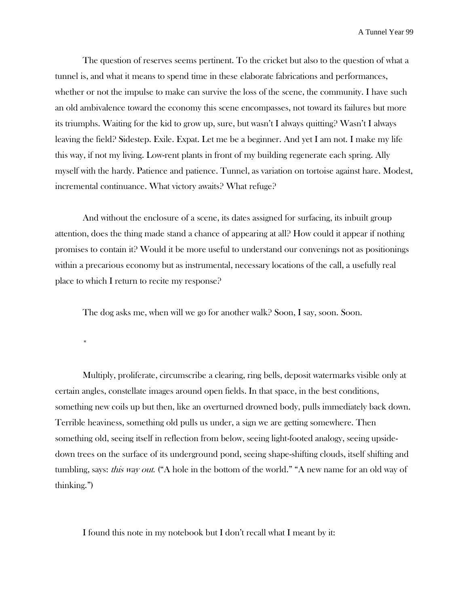The question of reserves seems pertinent. To the cricket but also to the question of what a tunnel is, and what it means to spend time in these elaborate fabrications and performances, whether or not the impulse to make can survive the loss of the scene, the community. I have such an old ambivalence toward the economy this scene encompasses, not toward its failures but more its triumphs. Waiting for the kid to grow up, sure, but wasn't I always quitting? Wasn't I always leaving the field? Sidestep. Exile. Expat. Let me be a beginner. And yet I am not. I make my life this way, if not my living. Low-rent plants in front of my building regenerate each spring. Ally myself with the hardy. Patience and patience. Tunnel, as variation on tortoise against hare. Modest, incremental continuance. What victory awaits? What refuge?

And without the enclosure of a scene, its dates assigned for surfacing, its inbuilt group attention, does the thing made stand a chance of appearing at all? How could it appear if nothing promises to contain it? Would it be more useful to understand our convenings not as positionings within a precarious economy but as instrumental, necessary locations of the call, a usefully real place to which I return to recite my response?

The dog asks me, when will we go for another walk? Soon, I say, soon. Soon.

\*

Multiply, proliferate, circumscribe a clearing, ring bells, deposit watermarks visible only at certain angles, constellate images around open fields. In that space, in the best conditions, something new coils up but then, like an overturned drowned body, pulls immediately back down. Terrible heaviness, something old pulls us under, a sign we are getting somewhere. Then something old, seeing itself in reflection from below, seeing light-footed analogy, seeing upsidedown trees on the surface of its underground pond, seeing shape-shifting clouds, itself shifting and tumbling, says: *this way out.* ("A hole in the bottom of the world." "A new name for an old way of thinking.")

I found this note in my notebook but I don't recall what I meant by it: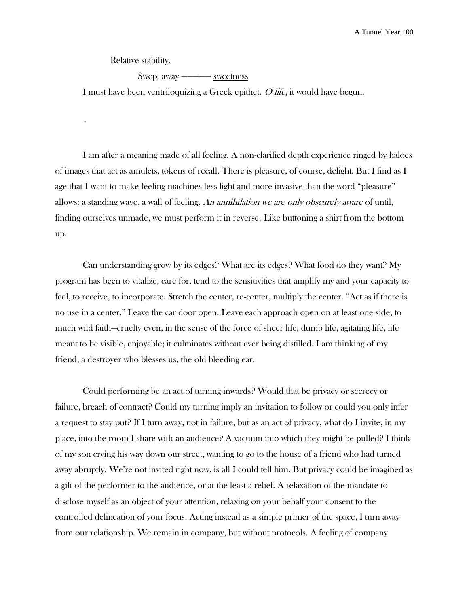Relative stability,

\*

Swept away ————— sweetness

I must have been ventriloquizing a Greek epithet. O life, it would have begun.

I am after a meaning made of all feeling. A non-clarified depth experience ringed by haloes of images that act as amulets, tokens of recall. There is pleasure, of course, delight. But I find as I age that I want to make feeling machines less light and more invasive than the word "pleasure" allows: a standing wave, a wall of feeling. An annihilation we are only obscurely aware of until, finding ourselves unmade, we must perform it in reverse. Like buttoning a shirt from the bottom up.

Can understanding grow by its edges? What are its edges? What food do they want? My program has been to vitalize, care for, tend to the sensitivities that amplify my and your capacity to feel, to receive, to incorporate. Stretch the center, re-center, multiply the center. "Act as if there is no use in a center." Leave the car door open. Leave each approach open on at least one side, to much wild faith—cruelty even, in the sense of the force of sheer life, dumb life, agitating life, life meant to be visible, enjoyable; it culminates without ever being distilled. I am thinking of my friend, a destroyer who blesses us, the old bleeding ear.

Could performing be an act of turning inwards? Would that be privacy or secrecy or failure, breach of contract? Could my turning imply an invitation to follow or could you only infer a request to stay put? If I turn away, not in failure, but as an act of privacy, what do I invite, in my place, into the room I share with an audience? A vacuum into which they might be pulled? I think of my son crying his way down our street, wanting to go to the house of a friend who had turned away abruptly. We're not invited right now, is all I could tell him. But privacy could be imagined as a gift of the performer to the audience, or at the least a relief. A relaxation of the mandate to disclose myself as an object of your attention, relaxing on your behalf your consent to the controlled delineation of your focus. Acting instead as a simple primer of the space, I turn away from our relationship. We remain in company, but without protocols. A feeling of company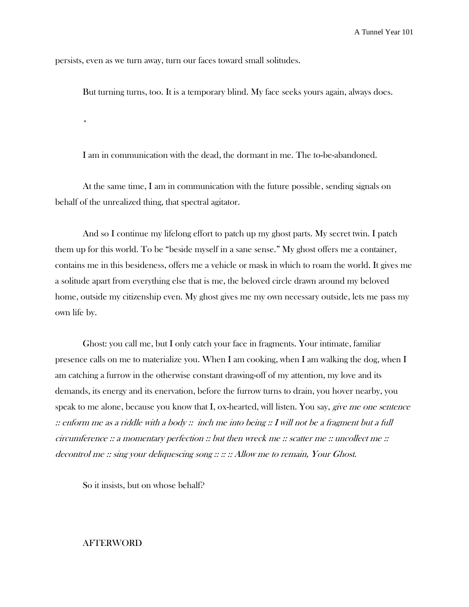persists, even as we turn away, turn our faces toward small solitudes.

\*

But turning turns, too. It is a temporary blind. My face seeks yours again, always does.

I am in communication with the dead, the dormant in me. The to-be-abandoned.

At the same time, I am in communication with the future possible, sending signals on behalf of the unrealized thing, that spectral agitator.

And so I continue my lifelong effort to patch up my ghost parts. My secret twin. I patch them up for this world. To be "beside myself in a sane sense." My ghost offers me a container, contains me in this besideness, offers me a vehicle or mask in which to roam the world. It gives me a solitude apart from everything else that is me, the beloved circle drawn around my beloved home, outside my citizenship even. My ghost gives me my own necessary outside, lets me pass my own life by.

Ghost: you call me, but I only catch your face in fragments. Your intimate, familiar presence calls on me to materialize you. When I am cooking, when I am walking the dog, when I am catching a furrow in the otherwise constant drawing-off of my attention, my love and its demands, its energy and its enervation, before the furrow turns to drain, you hover nearby, you speak to me alone, because you know that I, ox-hearted, will listen. You say, *give me one sentence*  $\therefore$  enform me as a riddle with a body  $\therefore$  inch me into being  $\therefore$  I will not be a fragment but a full circumference :: a momentary perfection :: but then wreck me :: scatter me :: uncollect me :: decontrol me :: sing your deliquescing song :: :: :: Allow me to remain, Your Ghost.

So it insists, but on whose behalf?

## AFTERWORD